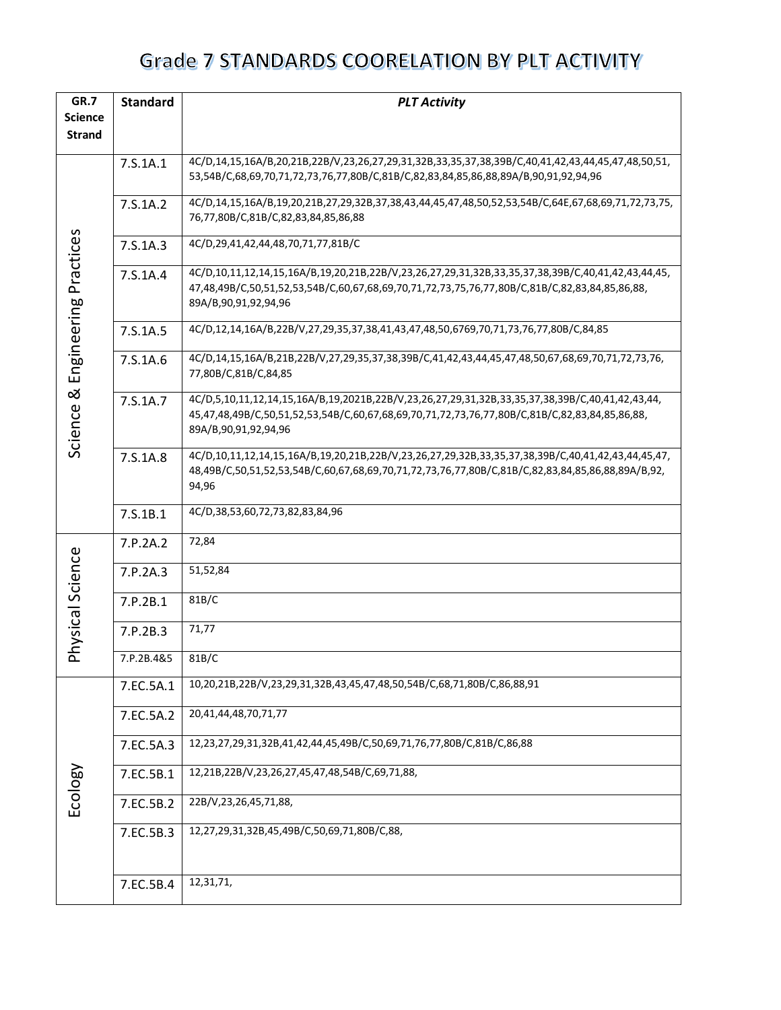| GR.7                  | <b>Standard</b><br><b>PLT Activity</b> |                                                                                                                                                                                                                                 |  |  |
|-----------------------|----------------------------------------|---------------------------------------------------------------------------------------------------------------------------------------------------------------------------------------------------------------------------------|--|--|
| <b>Science</b>        |                                        |                                                                                                                                                                                                                                 |  |  |
| <b>Strand</b>         |                                        |                                                                                                                                                                                                                                 |  |  |
|                       | 7.S.1A.1                               | 4C/D,14,15,16A/B,20,21B,22B/V,23,26,27,29,31,32B,33,35,37,38,39B/C,40,41,42,43,44,45,47,48,50,51,<br>53,54B/C,68,69,70,71,72,73,76,77,80B/C,81B/C,82,83,84,85,86,88,89A/B,90,91,92,94,96                                        |  |  |
|                       | 7.S.1A.2                               | 4C/D,14,15,16A/B,19,20,21B,27,29,32B,37,38,43,44,45,47,48,50,52,53,54B/C,64E,67,68,69,71,72,73,75,<br>76,77,80B/C,81B/C,82,83,84,85,86,88                                                                                       |  |  |
|                       | 7.5.1A.3                               | 4C/D,29,41,42,44,48,70,71,77,81B/C                                                                                                                                                                                              |  |  |
| Engineering Practices | 7.S.1A.4                               | 4C/D,10,11,12,14,15,16A/B,19,20,21B,22B/V,23,26,27,29,31,32B,33,35,37,38,39B/C,40,41,42,43,44,45,<br>47,48,49B/C,50,51,52,53,54B/C,60,67,68,69,70,71,72,73,75,76,77,80B/C,81B/C,82,83,84,85,86,88,<br>89A/B, 90, 91, 92, 94, 96 |  |  |
|                       | 7.5.1A.5                               | 4C/D,12,14,16A/B,22B/V,27,29,35,37,38,41,43,47,48,50,6769,70,71,73,76,77,80B/C,84,85                                                                                                                                            |  |  |
|                       | 7.S.1A.6                               | 4C/D,14,15,16A/B,21B,22B/V,27,29,35,37,38,39B/C,41,42,43,44,45,47,48,50,67,68,69,70,71,72,73,76,<br>77,80B/C,81B/C,84,85                                                                                                        |  |  |
| ಹ<br>Science          | 7.S.1A.7                               | 4C/D,5,10,11,12,14,15,16A/B,19,2021B,22B/V,23,26,27,29,31,32B,33,35,37,38,39B/C,40,41,42,43,44,<br>45,47,48,49B/C,50,51,52,53,54B/C,60,67,68,69,70,71,72,73,76,77,80B/C,81B/C,82,83,84,85,86,88,<br>89A/B, 90, 91, 92, 94, 96   |  |  |
|                       | 7.S.1A.8                               | 4C/D,10,11,12,14,15,16A/B,19,20,21B,22B/V,23,26,27,29,32B,33,35,37,38,39B/C,40,41,42,43,44,45,47,<br>48,49B/C,50,51,52,53,54B/C,60,67,68,69,70,71,72,73,76,77,80B/C,81B/C,82,83,84,85,86,88,89A/B,92,<br>94,96                  |  |  |
|                       | 7.S.1B.1                               | 4C/D,38,53,60,72,73,82,83,84,96                                                                                                                                                                                                 |  |  |
|                       | 7.P.2A.2                               | 72,84                                                                                                                                                                                                                           |  |  |
| Physical Science      | 7.P.2A.3                               | 51,52,84                                                                                                                                                                                                                        |  |  |
|                       | 7.P.2B.1                               | 81B/C                                                                                                                                                                                                                           |  |  |
|                       | 7.P.2B.3                               | 71,77                                                                                                                                                                                                                           |  |  |
|                       | 7.P.2B.4&5                             | 81B/C                                                                                                                                                                                                                           |  |  |
|                       | 7.EC.5A.1                              | 10,20,21B,22B/V,23,29,31,32B,43,45,47,48,50,54B/C,68,71,80B/C,86,88,91                                                                                                                                                          |  |  |
|                       | 7.EC.5A.2                              | 20,41,44,48,70,71,77                                                                                                                                                                                                            |  |  |
|                       | 7.EC.5A.3                              | 12,23,27,29,31,32B,41,42,44,45,49B/C,50,69,71,76,77,80B/C,81B/C,86,88                                                                                                                                                           |  |  |
| Ecology               | 7.EC.5B.1                              | 12,21B,22B/V,23,26,27,45,47,48,54B/C,69,71,88,                                                                                                                                                                                  |  |  |
|                       | 7.EC.5B.2                              | 22B/V,23,26,45,71,88,                                                                                                                                                                                                           |  |  |
|                       | 7.EC.5B.3                              | 12,27,29,31,32B,45,49B/C,50,69,71,80B/C,88,                                                                                                                                                                                     |  |  |
|                       | 7.EC.5B.4                              | 12,31,71,                                                                                                                                                                                                                       |  |  |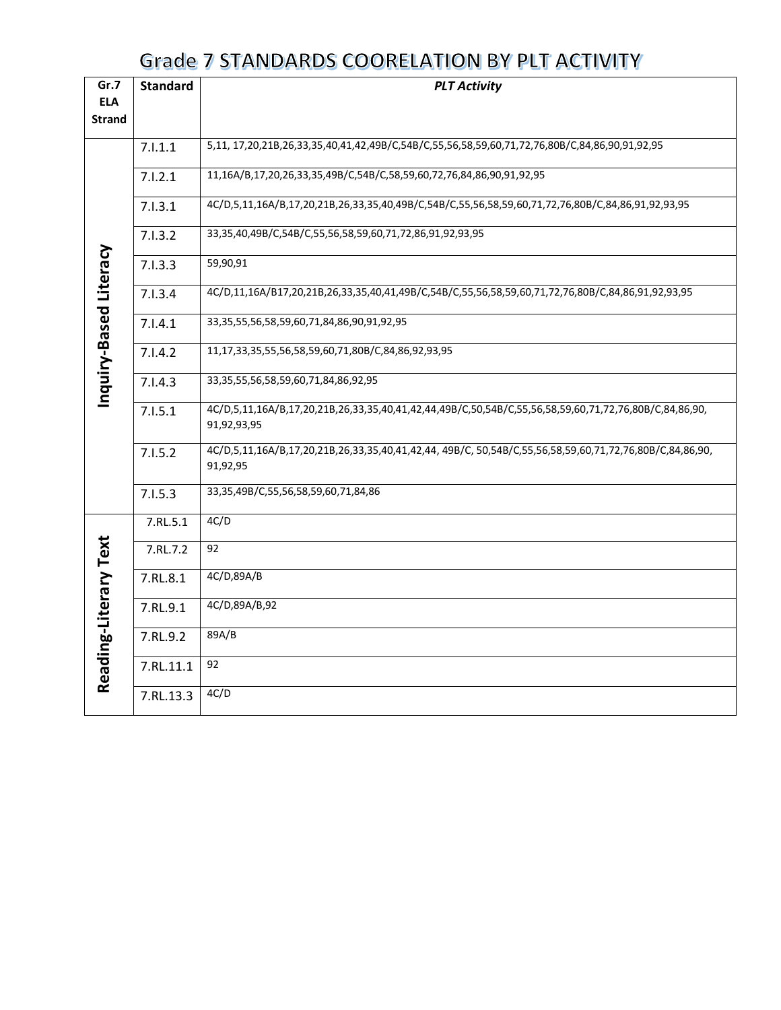| Gr.7                   | <b>Standard</b> | <b>PLT Activity</b>                                                                                                  |  |  |  |  |  |
|------------------------|-----------------|----------------------------------------------------------------------------------------------------------------------|--|--|--|--|--|
| <b>ELA</b>             |                 |                                                                                                                      |  |  |  |  |  |
| <b>Strand</b>          |                 |                                                                                                                      |  |  |  |  |  |
|                        |                 |                                                                                                                      |  |  |  |  |  |
|                        | 7.1.1.1         | 5,11, 17,20,21B,26,33,35,40,41,42,49B/C,54B/C,55,56,58,59,60,71,72,76,80B/C,84,86,90,91,92,95                        |  |  |  |  |  |
|                        | 7.1.2.1         | 11,16A/B,17,20,26,33,35,49B/C,54B/C,58,59,60,72,76,84,86,90,91,92,95                                                 |  |  |  |  |  |
|                        | 7.1.3.1         | 4C/D,5,11,16A/B,17,20,21B,26,33,35,40,49B/C,54B/C,55,56,58,59,60,71,72,76,80B/C,84,86,91,92,93,95                    |  |  |  |  |  |
|                        | 7.1.3.2         | 33,35,40,49B/C,54B/C,55,56,58,59,60,71,72,86,91,92,93,95                                                             |  |  |  |  |  |
|                        | 7.1.3.3         | 59,90,91                                                                                                             |  |  |  |  |  |
| Inquiry-Based Literacy | 7.1.3.4         | 4C/D,11,16A/B17,20,21B,26,33,35,40,41,49B/C,54B/C,55,56,58,59,60,71,72,76,80B/C,84,86,91,92,93,95                    |  |  |  |  |  |
|                        | 7.1.4.1         | 33, 35, 55, 56, 58, 59, 60, 71, 84, 86, 90, 91, 92, 95                                                               |  |  |  |  |  |
|                        | 7.1.4.2         | 11,17,33,35,55,56,58,59,60,71,80B/C,84,86,92,93,95                                                                   |  |  |  |  |  |
|                        | 7.1.4.3         | 33, 35, 55, 56, 58, 59, 60, 71, 84, 86, 92, 95                                                                       |  |  |  |  |  |
|                        | 7.1.5.1         | 4C/D,5,11,16A/B,17,20,21B,26,33,35,40,41,42,44,49B/C,50,54B/C,55,56,58,59,60,71,72,76,80B/C,84,86,90,<br>91,92,93,95 |  |  |  |  |  |
|                        | 7.1.5.2         | 4C/D,5,11,16A/B,17,20,21B,26,33,35,40,41,42,44, 49B/C, 50,54B/C,55,56,58,59,60,71,72,76,80B/C,84,86,90,<br>91,92,95  |  |  |  |  |  |
|                        | 7.1.5.3         | 33,35,49B/C,55,56,58,59,60,71,84,86                                                                                  |  |  |  |  |  |
|                        | 7.RL.5.1        | 4C/D                                                                                                                 |  |  |  |  |  |
|                        | 7.RL.7.2        | 92                                                                                                                   |  |  |  |  |  |
|                        | 7.RL.8.1        | 4C/D,89A/B                                                                                                           |  |  |  |  |  |
|                        | 7.RL.9.1        | 4C/D,89A/B,92                                                                                                        |  |  |  |  |  |
| Reading-Literary Text  | 7.RL.9.2        | 89A/B                                                                                                                |  |  |  |  |  |
|                        | 7.RL.11.1       | 92                                                                                                                   |  |  |  |  |  |
|                        | 7.RL.13.3       | 4C/D                                                                                                                 |  |  |  |  |  |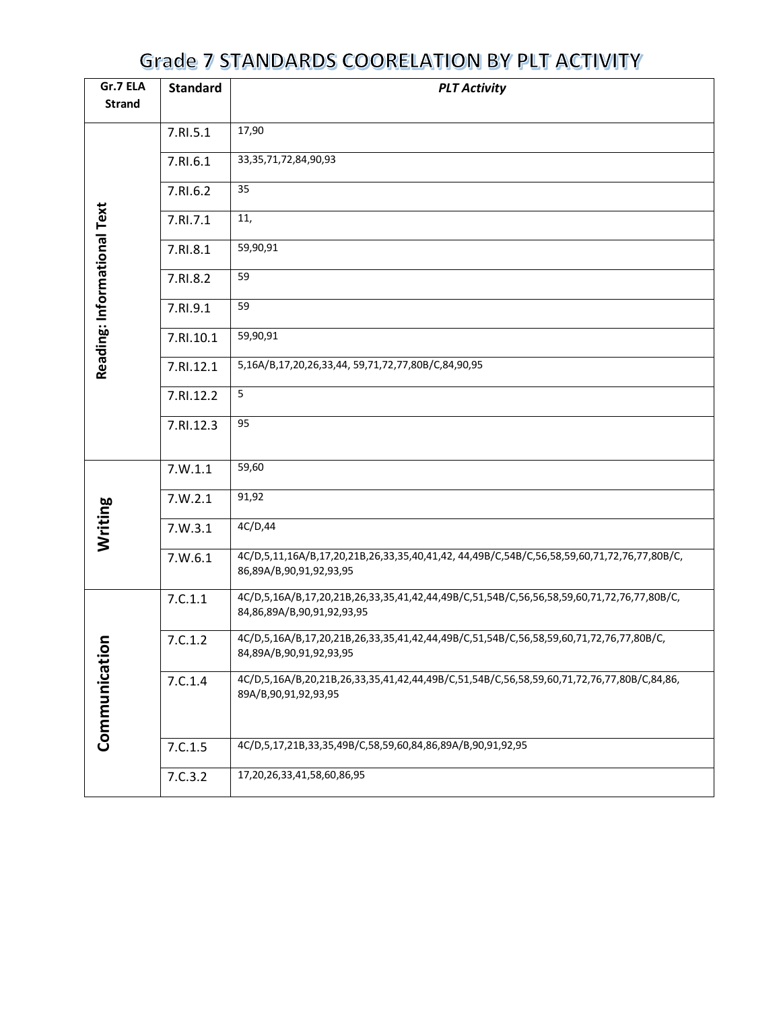| Gr.7 ELA<br><b>Standard</b> |           | <b>PLT Activity</b>                                                                                                     |  |  |  |  |
|-----------------------------|-----------|-------------------------------------------------------------------------------------------------------------------------|--|--|--|--|
| <b>Strand</b>               |           |                                                                                                                         |  |  |  |  |
|                             | 7.RI.5.1  | 17,90                                                                                                                   |  |  |  |  |
|                             | 7.RI.6.1  | 33, 35, 71, 72, 84, 90, 93                                                                                              |  |  |  |  |
|                             | 7.RI.6.2  | 35                                                                                                                      |  |  |  |  |
|                             | 7.RI.7.1  | 11,                                                                                                                     |  |  |  |  |
|                             | 7.RI.8.1  | 59,90,91                                                                                                                |  |  |  |  |
| Reading: Informational Text | 7.RI.8.2  | 59                                                                                                                      |  |  |  |  |
|                             | 7.RI.9.1  | 59                                                                                                                      |  |  |  |  |
|                             | 7.RI.10.1 | 59,90,91                                                                                                                |  |  |  |  |
|                             | 7.RI.12.1 | 5,16A/B,17,20,26,33,44, 59,71,72,77,80B/C,84,90,95                                                                      |  |  |  |  |
|                             | 7.RI.12.2 | 5                                                                                                                       |  |  |  |  |
|                             | 7.RI.12.3 | 95                                                                                                                      |  |  |  |  |
|                             |           |                                                                                                                         |  |  |  |  |
|                             | 7.W.1.1   | 59,60                                                                                                                   |  |  |  |  |
|                             | 7.W.2.1   | 91,92                                                                                                                   |  |  |  |  |
| Writing                     | 7.W.3.1   | 4C/D,44                                                                                                                 |  |  |  |  |
|                             | 7. W. 6.1 | 4C/D,5,11,16A/B,17,20,21B,26,33,35,40,41,42,44,49B/C,54B/C,56,58,59,60,71,72,76,77,80B/C,<br>86,89A/B,90,91,92,93,95    |  |  |  |  |
|                             | 7.C.1.1   | 4C/D,5,16A/B,17,20,21B,26,33,35,41,42,44,49B/C,51,54B/C,56,56,58,59,60,71,72,76,77,80B/C,<br>84,86,89A/B,90,91,92,93,95 |  |  |  |  |
| c                           | 7.C.1.2   | 4C/D,5,16A/B,17,20,21B,26,33,35,41,42,44,49B/C,51,54B/C,56,58,59,60,71,72,76,77,80B/C,<br>84,89A/B,90,91,92,93,95       |  |  |  |  |
| Communicatio                | 7.C.1.4   | 4C/D,5,16A/B,20,21B,26,33,35,41,42,44,49B/C,51,54B/C,56,58,59,60,71,72,76,77,80B/C,84,86,<br>89A/B, 90, 91, 92, 93, 95  |  |  |  |  |
|                             | 7.C.1.5   | 4C/D,5,17,21B,33,35,49B/C,58,59,60,84,86,89A/B,90,91,92,95                                                              |  |  |  |  |
|                             | 7.C.3.2   | 17,20,26,33,41,58,60,86,95                                                                                              |  |  |  |  |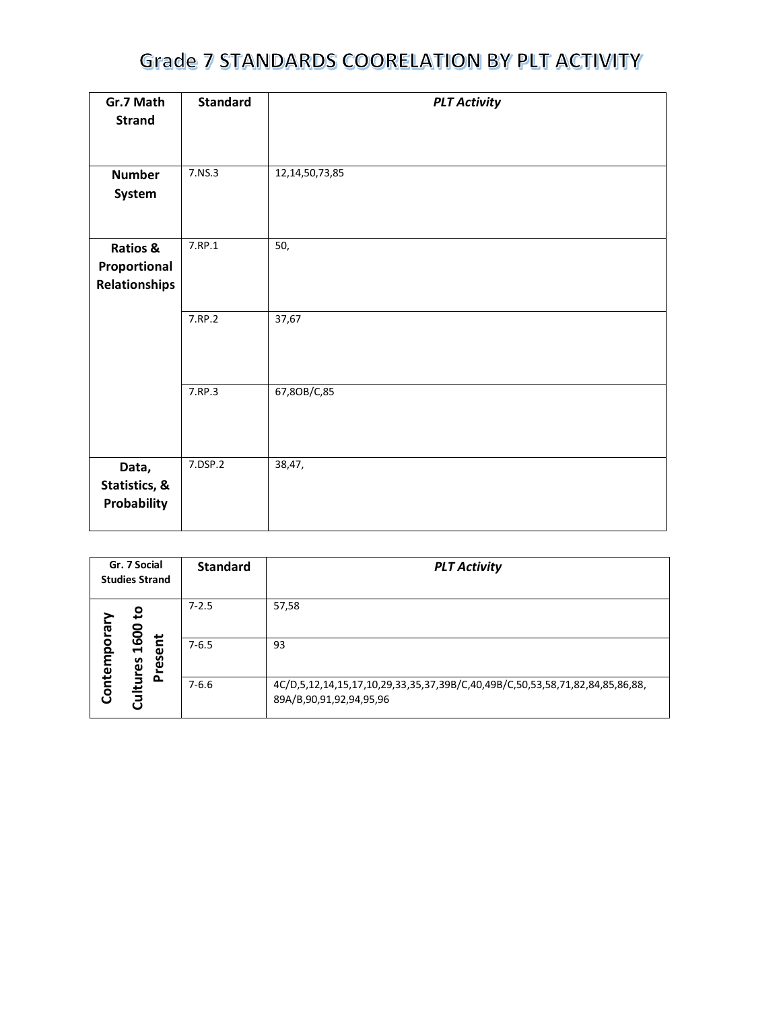| Gr.7 Math<br><b>Strand</b>                       | <b>Standard</b> | <b>PLT Activity</b> |
|--------------------------------------------------|-----------------|---------------------|
| <b>Number</b><br>System                          | 7.NS.3          | 12, 14, 50, 73, 85  |
| Ratios &<br>Proportional<br><b>Relationships</b> | 7.RP.1          | 50,                 |
|                                                  | 7.RP.2          | 37,67               |
|                                                  | 7.RP.3          | 67,80B/C,85         |
| Data,<br>Statistics, &<br>Probability            | 7.DSP.2         | 38,47,              |

| Gr. 7 Social<br><b>Studies Strand</b> |                                  | <b>Standard</b> | <b>PLT Activity</b>                                                                                           |
|---------------------------------------|----------------------------------|-----------------|---------------------------------------------------------------------------------------------------------------|
|                                       | ٥,                               | $7 - 2.5$       | 57,58                                                                                                         |
| Contemporar                           | 1600<br>$\mathbf{r}$<br>ω<br>res | $7 - 6.5$       | 93                                                                                                            |
|                                       | Cultures<br>ᅕ                    | $7 - 6.6$       | 4C/D,5,12,14,15,17,10,29,33,35,37,39B/C,40,49B/C,50,53,58,71,82,84,85,86,88,<br>89A/B, 90, 91, 92, 94, 95, 96 |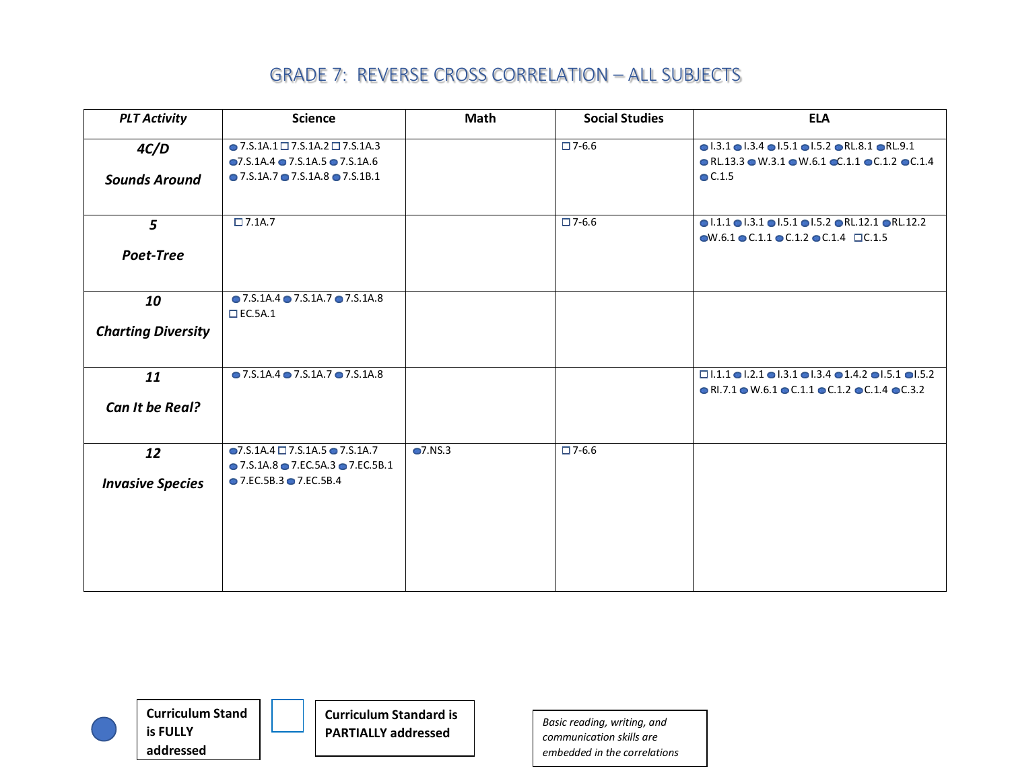| <b>PLT Activity</b>             | <b>Science</b>                                                                                                                                                             | <b>Math</b> | <b>Social Studies</b> | <b>ELA</b>                                                                                                                                                                                                                |
|---------------------------------|----------------------------------------------------------------------------------------------------------------------------------------------------------------------------|-------------|-----------------------|---------------------------------------------------------------------------------------------------------------------------------------------------------------------------------------------------------------------------|
| 4C/D<br><b>Sounds Around</b>    | $\bullet$ 7.S.1A.1 $\Box$ 7.S.1A.2 $\Box$ 7.S.1A.3<br>$\bullet$ 7.S.1A.4 $\bullet$ 7.S.1A.5 $\bullet$ 7.S.1A.6<br>$\bullet$ 7.5.1A.7 $\bullet$ 7.5.1A.8 $\bullet$ 7.5.1B.1 |             | $\square$ 7-6.6       | $\bullet$ 1.3.1 $\bullet$ 1.3.4 $\bullet$ 1.5.1 $\bullet$ 1.5.2 $\bullet$ RL.8.1 $\bullet$ RL.9.1<br>$\bullet$ RL.13.3 $\bullet$ W.3.1 $\bullet$ W.6.1 $\bullet$ C.1.1 $\bullet$ C.1.2 $\bullet$ C.1.4<br>$\bullet$ C.1.5 |
| 5<br>Poet-Tree                  | $\Box$ 7.1A.7                                                                                                                                                              |             | $\square$ 7-6.6       | $\bullet$  .1.1 $\bullet$  .3.1 $\bullet$  .5.1 $\bullet$  .5.2 $\bullet$ RL.12.1 $\bullet$ RL.12.2<br>$\bullet$ W.6.1 $\bullet$ C.1.1 $\bullet$ C.1.2 $\bullet$ C.1.4 $\Box$ C.1.5                                       |
| 10<br><b>Charting Diversity</b> | $\bullet$ 7.S.1A.4 $\bullet$ 7.S.1A.7 $\bullet$ 7.S.1A.8<br>$\square$ EC.5A.1                                                                                              |             |                       |                                                                                                                                                                                                                           |
| 11<br>Can It be Real?           | $\bullet$ 7.S.1A.4 $\bullet$ 7.S.1A.7 $\bullet$ 7.S.1A.8                                                                                                                   |             |                       | $\Box$ 1.1.1 $\bigcirc$ 1.2.1 $\bigcirc$ 1.3.1 $\bigcirc$ 1.3.4 $\bigcirc$ 1.4.2 $\bigcirc$ 1.5.1 $\bigcirc$ 1.5.2<br>$\bullet$ RI.7.1 $\bullet$ W.6.1 $\bullet$ C.1.1 $\bullet$ C.1.2 $\bullet$ C.1.4 $\bullet$ C.3.2    |
| 12<br><b>Invasive Species</b>   | $\bigcirc$ 7.S.1A.4 $\Box$ 7.S.1A.5 $\bigcirc$ 7.S.1A.7<br>$\bullet$ 7.S.1A.8 $\bullet$ 7.EC.5A.3 $\bullet$ 7.EC.5B.1<br>$\bullet$ 7.EC.5B.3 $\bullet$ 7.EC.5B.4           | O7.NS.3     | $\Box$ 7-6.6          |                                                                                                                                                                                                                           |



**Curriculum Stand is FULLY addressed**

**Curriculum Standard is PARTIALLY addressed** *Basic reading, writing, and*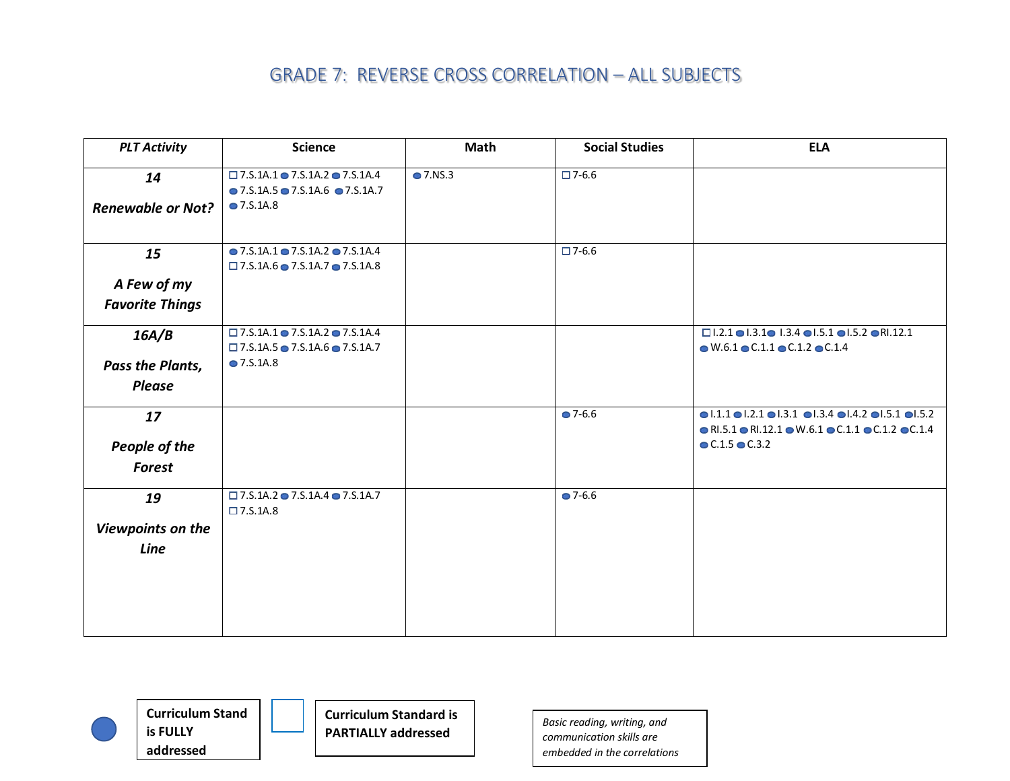| <b>PLT Activity</b>      | <b>Science</b>                                                                                                    | <b>Math</b>      | <b>Social Studies</b> | <b>ELA</b>                                                                                                                                                                                                            |
|--------------------------|-------------------------------------------------------------------------------------------------------------------|------------------|-----------------------|-----------------------------------------------------------------------------------------------------------------------------------------------------------------------------------------------------------------------|
| 14                       | $\square$ 7.S.1A.1 $\odot$ 7.S.1A.2 $\odot$ 7.S.1A.4                                                              | $\bullet$ 7.NS.3 | $\square$ 7-6.6       |                                                                                                                                                                                                                       |
|                          | $\bullet$ 7.S.1A.5 $\bullet$ 7.S.1A.6 $\bullet$ 7.S.1A.7                                                          |                  |                       |                                                                                                                                                                                                                       |
| <b>Renewable or Not?</b> | $\bullet$ 7.S.1A.8                                                                                                |                  |                       |                                                                                                                                                                                                                       |
| 15                       | $\bullet$ 7.S.1A.1 $\bullet$ 7.S.1A.2 $\bullet$ 7.S.1A.4<br>$\Box$ 7.S.1A.6 $\bullet$ 7.S.1A.7 $\bullet$ 7.S.1A.8 |                  | $\square$ 7-6.6       |                                                                                                                                                                                                                       |
| A Few of my              |                                                                                                                   |                  |                       |                                                                                                                                                                                                                       |
| <b>Favorite Things</b>   |                                                                                                                   |                  |                       |                                                                                                                                                                                                                       |
| 16A/B                    | $\Box$ 7.S.1A.1 $\bullet$ 7.S.1A.2 $\bullet$ 7.S.1A.4<br>$\Box$ 7.S.1A.5 $\bullet$ 7.S.1A.6 $\bullet$ 7.S.1A.7    |                  |                       | $\Box$ 1.2.1 $\bullet$ 1.3.1 $\bullet$ 1.3.4 $\bullet$ 1.5.1 $\bullet$ 1.5.2 $\bullet$ RI.12.1<br>$\bullet$ W.6.1 $\bullet$ C.1.1 $\bullet$ C.1.2 $\bullet$ C.1.4                                                     |
| Pass the Plants,         | • 7.S.1A.8                                                                                                        |                  |                       |                                                                                                                                                                                                                       |
| <b>Please</b>            |                                                                                                                   |                  |                       |                                                                                                                                                                                                                       |
| 17                       |                                                                                                                   |                  | $27 - 6.6$            | $\bullet$ 1.1.1 $\bullet$ 1.2.1 $\bullet$ 1.3.1 $\bullet$ 1.3.4 $\bullet$ 1.4.2 $\bullet$ 1.5.1 $\bullet$ 1.5.2<br>$\bullet$ RI.5.1 $\bullet$ RI.12.1 $\bullet$ W.6.1 $\bullet$ C.1.1 $\bullet$ C.1.2 $\bullet$ C.1.4 |
| People of the            |                                                                                                                   |                  |                       | $C.1.5$ $C.3.2$                                                                                                                                                                                                       |
| <b>Forest</b>            |                                                                                                                   |                  |                       |                                                                                                                                                                                                                       |
| 19                       | $\Box$ 7.S.1A.2 $\bullet$ 7.S.1A.4 $\bullet$ 7.S.1A.7<br>$\square$ 7.S.1A.8                                       |                  | $27 - 6.6$            |                                                                                                                                                                                                                       |
| Viewpoints on the        |                                                                                                                   |                  |                       |                                                                                                                                                                                                                       |
|                          |                                                                                                                   |                  |                       |                                                                                                                                                                                                                       |
| Line                     |                                                                                                                   |                  |                       |                                                                                                                                                                                                                       |
|                          |                                                                                                                   |                  |                       |                                                                                                                                                                                                                       |
|                          |                                                                                                                   |                  |                       |                                                                                                                                                                                                                       |
|                          |                                                                                                                   |                  |                       |                                                                                                                                                                                                                       |
|                          |                                                                                                                   |                  |                       |                                                                                                                                                                                                                       |



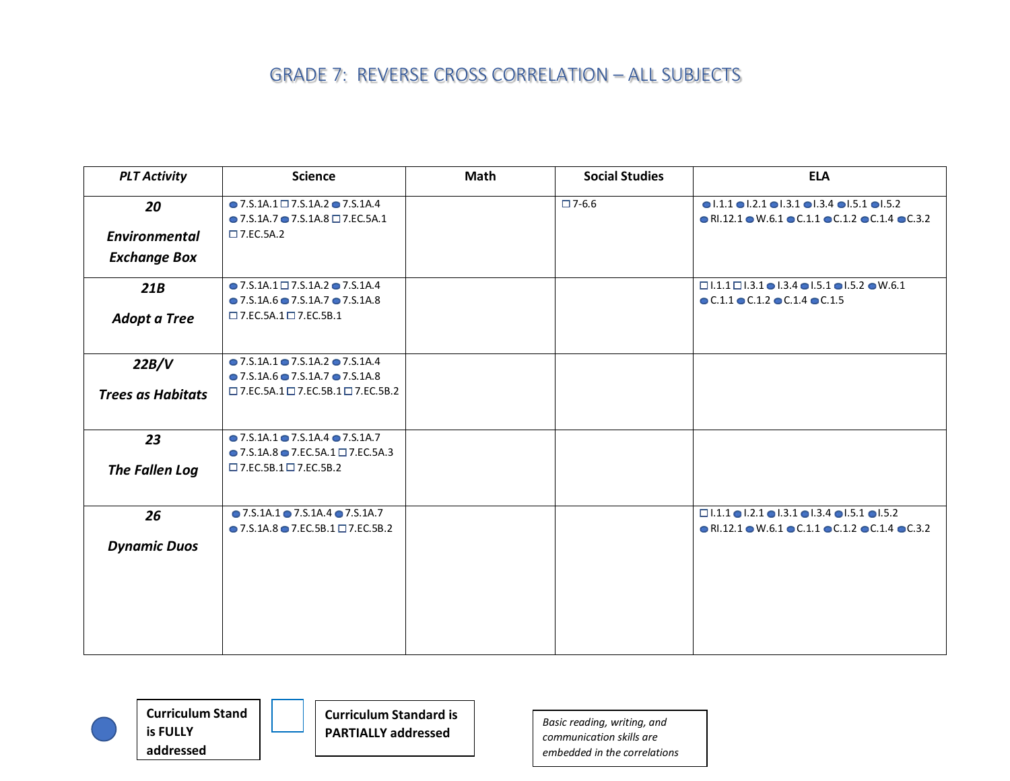| <b>PLT Activity</b>      | <b>Science</b>                                                                                                     | <b>Math</b> | <b>Social Studies</b> | <b>ELA</b>                                                                                                                                                                                           |
|--------------------------|--------------------------------------------------------------------------------------------------------------------|-------------|-----------------------|------------------------------------------------------------------------------------------------------------------------------------------------------------------------------------------------------|
| 20                       | $\bullet$ 7.S.1A.1 $\square$ 7.S.1A.2 $\bullet$ 7.S.1A.4<br>$\bullet$ 7.S.1A.7 $\bullet$ 7.S.1A.8 $\Box$ 7.EC.5A.1 |             | $\square$ 7-6.6       | $\bullet$ 1.1.1 $\bullet$ 1.2.1 $\bullet$ 1.3.1 $\bullet$ 1.3.4 $\bullet$ 1.5.1 $\bullet$ 1.5.2<br>$\bullet$ RI.12.1 $\bullet$ W.6.1 $\bullet$ C.1.1 $\bullet$ C.1.2 $\bullet$ C.1.4 $\bullet$ C.3.2 |
| <b>Environmental</b>     | $\square$ 7.EC.5A.2                                                                                                |             |                       |                                                                                                                                                                                                      |
| <b>Exchange Box</b>      |                                                                                                                    |             |                       |                                                                                                                                                                                                      |
| 21B                      | $\bullet$ 7.S.1A.1 $\Box$ 7.S.1A.2 $\bullet$ 7.S.1A.4                                                              |             |                       | $\Box$ 1.1.1 $\Box$ 1.3.1 $\bullet$ 1.3.4 $\bullet$ 1.5.1 $\bullet$ 1.5.2 $\bullet$ W.6.1                                                                                                            |
|                          | $\bullet$ 7.5.1A.6 $\bullet$ 7.5.1A.7 $\bullet$ 7.5.1A.8                                                           |             |                       | $\bullet$ C.1.1 $\bullet$ C.1.2 $\bullet$ C.1.4 $\bullet$ C.1.5                                                                                                                                      |
| <b>Adopt a Tree</b>      | $\square$ 7.EC.5A.1 $\square$ 7.EC.5B.1                                                                            |             |                       |                                                                                                                                                                                                      |
| 22B/V                    | $\bullet$ 7.5.1A.1 $\bullet$ 7.5.1A.2 $\bullet$ 7.5.1A.4                                                           |             |                       |                                                                                                                                                                                                      |
|                          | $\bullet$ 7.5.1A.6 $\bullet$ 7.5.1A.7 $\bullet$ 7.5.1A.8                                                           |             |                       |                                                                                                                                                                                                      |
| <b>Trees as Habitats</b> | $\square$ 7.EC.5A.1 $\square$ 7.EC.5B.1 $\square$ 7.EC.5B.2                                                        |             |                       |                                                                                                                                                                                                      |
| 23                       | $\bullet$ 7.5.1A.1 $\bullet$ 7.5.1A.4 $\bullet$ 7.5.1A.7                                                           |             |                       |                                                                                                                                                                                                      |
|                          | $\bullet$ 7.S.1A.8 $\bullet$ 7.EC.5A.1 $\Box$ 7.EC.5A.3                                                            |             |                       |                                                                                                                                                                                                      |
| The Fallen Log           | $\square$ 7.EC.5B.1 $\square$ 7.EC.5B.2                                                                            |             |                       |                                                                                                                                                                                                      |
| 26                       | $\bullet$ 7.S.1A.1 $\bullet$ 7.S.1A.4 $\bullet$ 7.S.1A.7                                                           |             |                       | $\Box$ 1.1.1 $\bigcirc$ 1.2.1 $\bigcirc$ 1.3.1 $\bigcirc$ 1.3.4 $\bigcirc$ 1.5.1 $\bigcirc$ 1.5.2                                                                                                    |
|                          | $\bullet$ 7.S.1A.8 $\bullet$ 7.EC.5B.1 $\Box$ 7.EC.5B.2                                                            |             |                       | $\bullet$ RI.12.1 $\bullet$ W.6.1 $\bullet$ C.1.1 $\bullet$ C.1.2 $\bullet$ C.1.4 $\bullet$ C.3.2                                                                                                    |
| <b>Dynamic Duos</b>      |                                                                                                                    |             |                       |                                                                                                                                                                                                      |
|                          |                                                                                                                    |             |                       |                                                                                                                                                                                                      |
|                          |                                                                                                                    |             |                       |                                                                                                                                                                                                      |
|                          |                                                                                                                    |             |                       |                                                                                                                                                                                                      |
|                          |                                                                                                                    |             |                       |                                                                                                                                                                                                      |
|                          |                                                                                                                    |             |                       |                                                                                                                                                                                                      |





**Curriculum Standard is PARTIALLY addressed** *Basic reading, writing, and*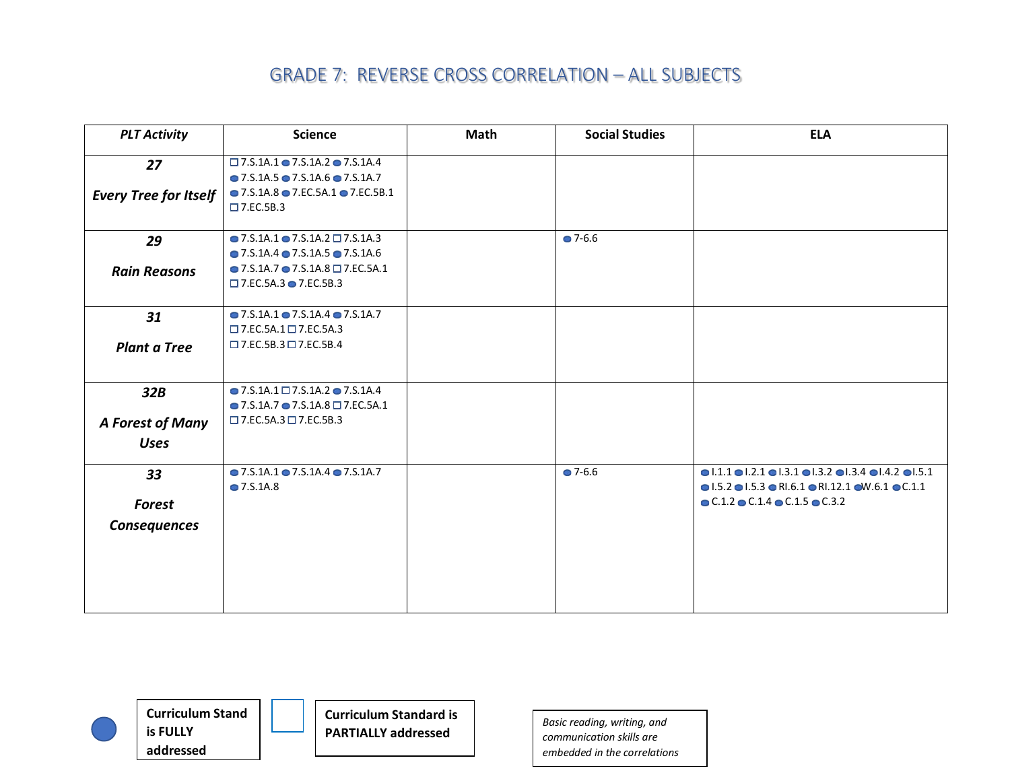| <b>PLT Activity</b>                | <b>Science</b>                                                                                                                                                                                        | <b>Math</b> | <b>Social Studies</b> | <b>ELA</b>                                                                                                                                                                                                                                                                               |
|------------------------------------|-------------------------------------------------------------------------------------------------------------------------------------------------------------------------------------------------------|-------------|-----------------------|------------------------------------------------------------------------------------------------------------------------------------------------------------------------------------------------------------------------------------------------------------------------------------------|
| 27<br><b>Every Tree for Itself</b> | $\square$ 7.5.1A.1 $\odot$ 7.5.1A.2 $\odot$ 7.5.1A.4<br>$\bullet$ 7.S.1A.5 $\bullet$ 7.S.1A.6 $\bullet$ 7.S.1A.7<br>$\bullet$ 7.S.1A.8 $\bullet$ 7.EC.5A.1 $\bullet$ 7.EC.5B.1<br>$\square$ 7.EC.5B.3 |             |                       |                                                                                                                                                                                                                                                                                          |
| 29<br><b>Rain Reasons</b>          | $\bullet$ 7.5.1A.1 $\bullet$ 7.5.1A.2 $\Box$ 7.5.1A.3<br>$\bullet$ 7.S.1A.4 $\bullet$ 7.S.1A.5 $\bullet$ 7.S.1A.6<br>$\bullet$ 7.S.1A.7 $\bullet$ 7.S.1A.8 $\Box$ 7.EC.5A.1                           |             | $27 - 6.6$            |                                                                                                                                                                                                                                                                                          |
| 31<br><b>Plant a Tree</b>          | $\square$ 7.EC.5A.3 $\bullet$ 7.EC.5B.3<br>$\bullet$ 7.S.1A.1 $\bullet$ 7.S.1A.4 $\bullet$ 7.S.1A.7<br>$\square$ 7.EC.5A.1 $\square$ 7.EC.5A.3<br>$\square$ 7.EC.5B.3 $\square$ 7.EC.5B.4             |             |                       |                                                                                                                                                                                                                                                                                          |
| 32B<br>A Forest of Many            | $\bullet$ 7.S.1A.1 $\Box$ 7.S.1A.2 $\bullet$ 7.S.1A.4<br>$\bullet$ 7.S.1A.7 $\bullet$ 7.S.1A.8 $\Box$ 7.EC.5A.1<br>$\square$ 7.EC.5A.3 $\square$ 7.EC.5B.3                                            |             |                       |                                                                                                                                                                                                                                                                                          |
| <b>Uses</b>                        |                                                                                                                                                                                                       |             |                       |                                                                                                                                                                                                                                                                                          |
| 33<br>Forest<br>Consequences       | $\bullet$ 7.S.1A.1 $\bullet$ 7.S.1A.4 $\bullet$ 7.S.1A.7<br>• 7.S.1A.8                                                                                                                                |             | $27 - 6.6$            | $\bullet$ 1.1.1 $\bullet$ 1.2.1 $\bullet$ 1.3.1 $\bullet$ 1.3.2 $\bullet$ 1.3.4 $\bullet$ 1.4.2 $\bullet$ 1.5.1<br>$\bullet$ 1.5.2 $\bullet$ 1.5.3 $\bullet$ RI.6.1 $\bullet$ RI.12.1 $\bullet$ W.6.1 $\bullet$ C.1.1<br>$\bullet$ C.1.2 $\bullet$ C.1.4 $\bullet$ C.1.5 $\bullet$ C.3.2 |



**Curriculum Stand is FULLY addressed**

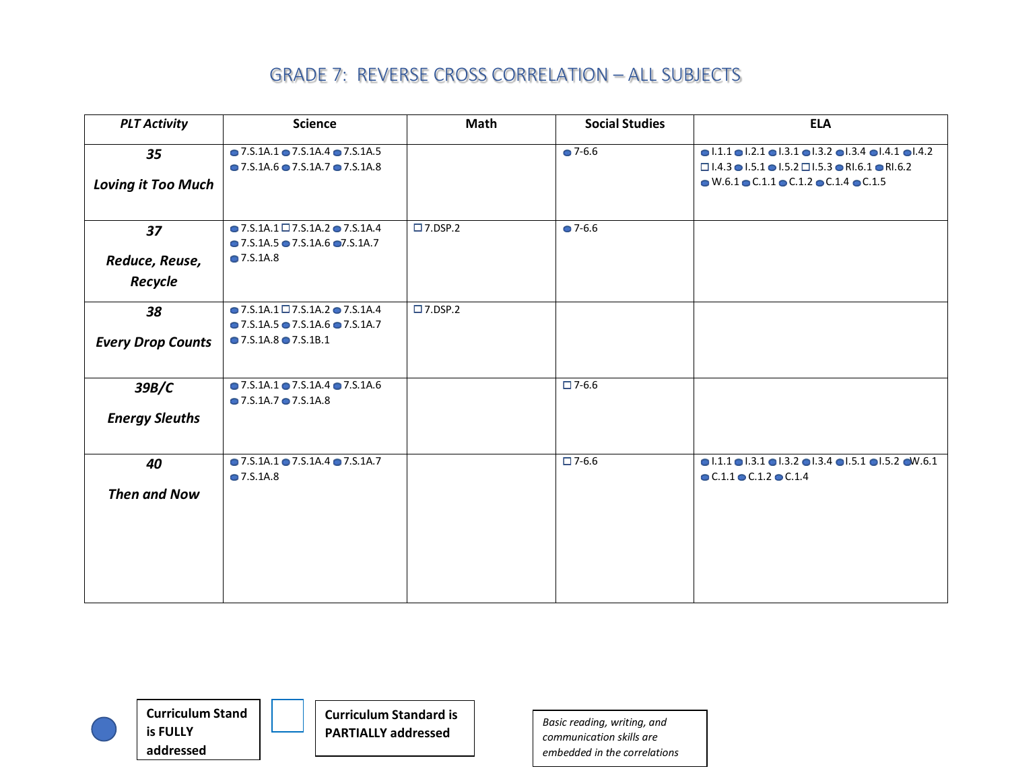| <b>PLT Activity</b>             | <b>Science</b>                                                                                                                                             | Math              | <b>Social Studies</b> | <b>ELA</b>                                                                                                                                                                                                                                                                                        |
|---------------------------------|------------------------------------------------------------------------------------------------------------------------------------------------------------|-------------------|-----------------------|---------------------------------------------------------------------------------------------------------------------------------------------------------------------------------------------------------------------------------------------------------------------------------------------------|
| 35<br><b>Loving it Too Much</b> | $\bullet$ 7.S.1A.1 $\bullet$ 7.S.1A.4 $\bullet$ 7.S.1A.5<br>$\bullet$ 7.5.1A.6 $\bullet$ 7.5.1A.7 $\bullet$ 7.5.1A.8                                       |                   | $27 - 6.6$            | $\bullet$ 1.1.1 $\bullet$ 1.2.1 $\bullet$ 1.3.1 $\bullet$ 1.3.2 $\bullet$ 1.3.4 $\bullet$ 1.4.1 $\bullet$ 1.4.2<br>$\Box$ 1.4.3 $\bullet$ 1.5.1 $\bullet$ 1.5.2 $\Box$ 1.5.3 $\bullet$ RI.6.1 $\bullet$ RI.6.2<br>$\bullet$ W.6.1 $\bullet$ C.1.1 $\bullet$ C.1.2 $\bullet$ C.1.4 $\bullet$ C.1.5 |
| 37<br>Reduce, Reuse,<br>Recycle | $\bullet$ 7.S.1A.1 $\Box$ 7.S.1A.2 $\bullet$ 7.S.1A.4<br>$\bullet$ 7.5.1A.5 $\bullet$ 7.5.1A.6 $\bullet$ 7.5.1A.7<br>$\bullet$ 7.S.1A.8                    | $\square$ 7.DSP.2 | $-7 - 6.6$            |                                                                                                                                                                                                                                                                                                   |
| 38<br><b>Every Drop Counts</b>  | $\bullet$ 7.S.1A.1 $\Box$ 7.S.1A.2 $\bullet$ 7.S.1A.4<br>$\bullet$ 7.5.1A.5 $\bullet$ 7.5.1A.6 $\bullet$ 7.5.1A.7<br>$\bullet$ 7.S.1A.8 $\bullet$ 7.S.1B.1 | $\square$ 7.DSP.2 |                       |                                                                                                                                                                                                                                                                                                   |
| 39B/C<br><b>Energy Sleuths</b>  | $\bullet$ 7.S.1A.1 $\bullet$ 7.S.1A.4 $\bullet$ 7.S.1A.6<br>$\bullet$ 7.5.1A.7 $\bullet$ 7.5.1A.8                                                          |                   | $\Box$ 7-6.6          |                                                                                                                                                                                                                                                                                                   |
| 40<br><b>Then and Now</b>       | $\bullet$ 7.S.1A.1 $\bullet$ 7.S.1A.4 $\bullet$ 7.S.1A.7<br>$\bullet$ 7.S.1A.8                                                                             |                   | $\square$ 7-6.6       | $\bullet$ 1.1.1 $\bullet$ 1.3.1 $\bullet$ 1.3.2 $\bullet$ 1.3.4 $\bullet$ 1.5.1 $\bullet$ 1.5.2 $\bullet$ W.6.1<br>$\bullet$ C.1.1 $\bullet$ C.1.2 $\bullet$ C.1.4                                                                                                                                |



**Curriculum Stand is FULLY addressed**

**Curriculum Standard is PARTIALLY addressed** *Basic reading, writing, and*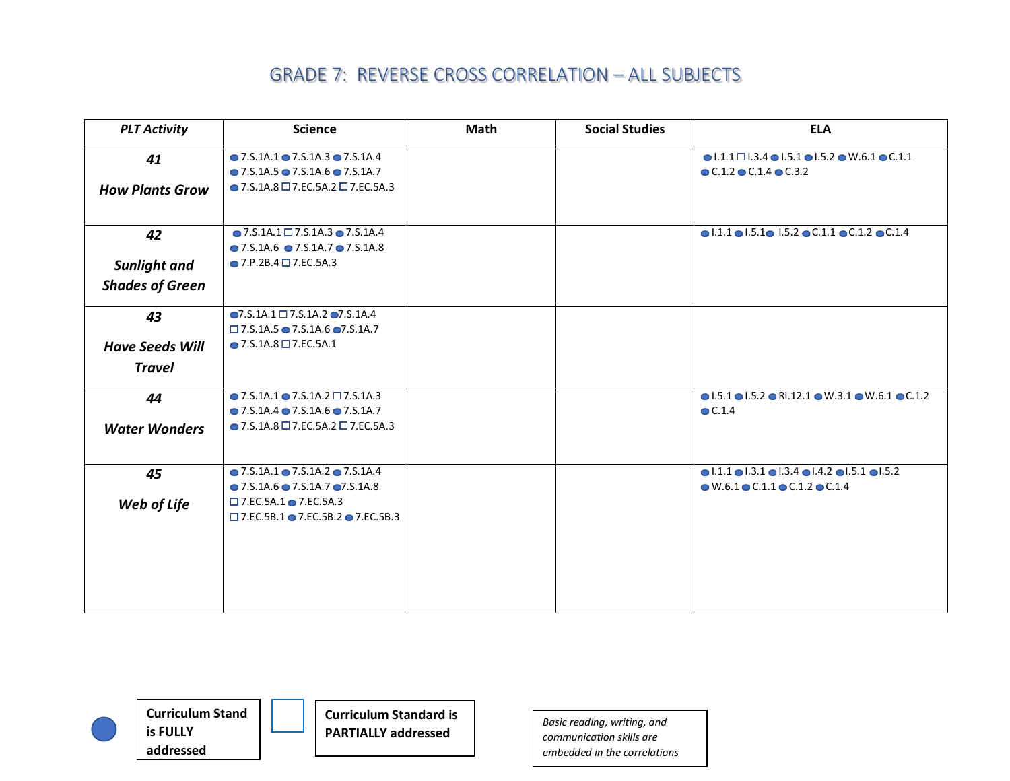| <b>PLT Activity</b>    | <b>Science</b>                                            | Math | <b>Social Studies</b> | <b>ELA</b>                                                                                        |
|------------------------|-----------------------------------------------------------|------|-----------------------|---------------------------------------------------------------------------------------------------|
| 41                     | $\bullet$ 7.S.1A.1 $\bullet$ 7.S.1A.3 $\bullet$ 7.S.1A.4  |      |                       | $\bullet$ 1.1.1 $\square$ 1.3.4 $\bullet$ 1.5.1 $\bullet$ 1.5.2 $\bullet$ W.6.1 $\bullet$ C.1.1   |
|                        | $\bullet$ 7.5.1A.5 $\bullet$ 7.S.1A.6 $\bullet$ 7.S.1A.7  |      |                       | $\bullet$ C.1.2 $\bullet$ C.1.4 $\bullet$ C.3.2                                                   |
| <b>How Plants Grow</b> | $\bullet$ 7.S.1A.8 $\Box$ 7.EC.5A.2 $\Box$ 7.EC.5A.3      |      |                       |                                                                                                   |
|                        |                                                           |      |                       |                                                                                                   |
| 42                     | $\bullet$ 7.S.1A.1 $\Box$ 7.S.1A.3 $\bullet$ 7.S.1A.4     |      |                       | $\bullet$ 1.1.1 $\bullet$ 1.5.1 $\bullet$ 1.5.2 $\bullet$ C.1.1 $\bullet$ C.1.2 $\bullet$ C.1.4   |
|                        | $\bullet$ 7.5.1A.6 $\bullet$ 7.5.1A.7 $\bullet$ 7.5.1A.8  |      |                       |                                                                                                   |
| <b>Sunlight and</b>    | $\bullet$ 7.P.2B.4 $\Box$ 7.EC.5A.3                       |      |                       |                                                                                                   |
| <b>Shades of Green</b> |                                                           |      |                       |                                                                                                   |
| 43                     | $\bigcirc$ 7.S.1A.1 $\square$ 7.S.1A.2 $\square$ 7.S.1A.4 |      |                       |                                                                                                   |
|                        | $\Box$ 7.S.1A.5 $\bullet$ 7.S.1A.6 $\bullet$ 7.S.1A.7     |      |                       |                                                                                                   |
| <b>Have Seeds Will</b> | $\bullet$ 7.S.1A.8 $\Box$ 7.EC.5A.1                       |      |                       |                                                                                                   |
| <b>Travel</b>          |                                                           |      |                       |                                                                                                   |
| 44                     | $\bullet$ 7.5.1A.1 $\bullet$ 7.5.1A.2 $\Box$ 7.5.1A.3     |      |                       | $\bullet$ 1.5.1 $\bullet$ 1.5.2 $\bullet$ R1.12.1 $\bullet$ W.3.1 $\bullet$ W.6.1 $\bullet$ C.1.2 |
|                        | $\bullet$ 7.5.1A.4 $\bullet$ 7.5.1A.6 $\bullet$ 7.5.1A.7  |      |                       | $\bullet$ C.1.4                                                                                   |
| <b>Water Wonders</b>   | $\bullet$ 7.S.1A.8 $\Box$ 7.EC.5A.2 $\Box$ 7.EC.5A.3      |      |                       |                                                                                                   |
|                        |                                                           |      |                       |                                                                                                   |
| 45                     | $\bullet$ 7.S.1A.1 $\bullet$ 7.S.1A.2 $\bullet$ 7.S.1A.4  |      |                       | $\bullet$ 1.1.1 $\bullet$ 1.3.1 $\bullet$ 1.3.4 $\bullet$ 1.4.2 $\bullet$ 1.5.1 $\bullet$ 1.5.2   |
|                        | $\bullet$ 7.5.1A.6 $\bullet$ 7.5.1A.7 $\bullet$ 7.5.1A.8  |      |                       | $\bullet$ W.6.1 $\bullet$ C.1.1 $\bullet$ C.1.2 $\bullet$ C.1.4                                   |
| Web of Life            | $\square$ 7.EC.5A.1 $\square$ 7.EC.5A.3                   |      |                       |                                                                                                   |
|                        | □ 7.EC.5B.1 ● 7.EC.5B.2 ● 7.EC.5B.3                       |      |                       |                                                                                                   |
|                        |                                                           |      |                       |                                                                                                   |
|                        |                                                           |      |                       |                                                                                                   |
|                        |                                                           |      |                       |                                                                                                   |
|                        |                                                           |      |                       |                                                                                                   |
|                        |                                                           |      |                       |                                                                                                   |



**Curriculum Stand is FULLY addressed**



**PARTIALLY addressed** *Basic reading, writing, and communication skills are embedded in the correlations*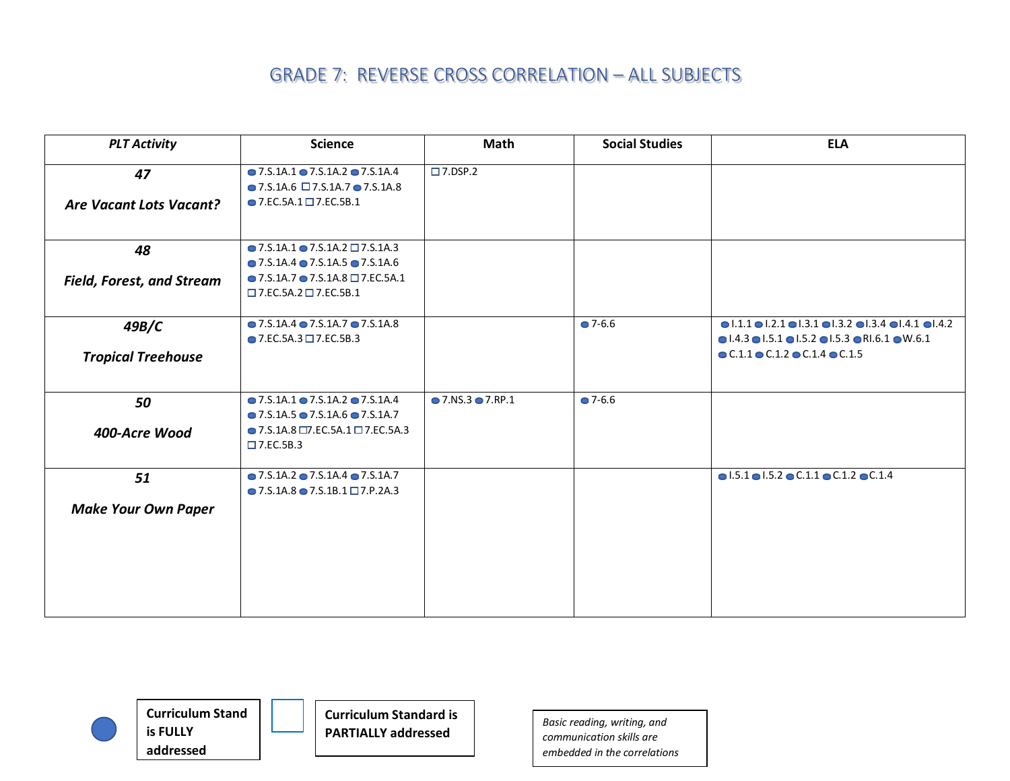| <b>PLT Activity</b>                  | <b>Science</b>                                                                                                                                                                                      | Math                              | <b>Social Studies</b> | <b>ELA</b>                                                                                                                                                                                                                                                                             |
|--------------------------------------|-----------------------------------------------------------------------------------------------------------------------------------------------------------------------------------------------------|-----------------------------------|-----------------------|----------------------------------------------------------------------------------------------------------------------------------------------------------------------------------------------------------------------------------------------------------------------------------------|
| 47<br><b>Are Vacant Lots Vacant?</b> | $\bullet$ 7.S.1A.1 $\bullet$ 7.S.1A.2 $\bullet$ 7.S.1A.4<br>$\bullet$ 7.S.1A.6 $\Box$ 7.S.1A.7 $\bullet$ 7.S.1A.8<br>$\bullet$ 7.EC.5A.1 $\Box$ 7.EC.5B.1                                           | $\square$ 7.DSP.2                 |                       |                                                                                                                                                                                                                                                                                        |
| 48                                   | $\bullet$ 7.S.1A.1 $\bullet$ 7.S.1A.2 $\Box$ 7.S.1A.3<br>$\bullet$ 7.5.1A.4 $\bullet$ 7.5.1A.5 $\bullet$ 7.5.1A.6                                                                                   |                                   |                       |                                                                                                                                                                                                                                                                                        |
| <b>Field, Forest, and Stream</b>     | $\bullet$ 7.S.1A.7 $\bullet$ 7.S.1A.8 $\Box$ 7.EC.5A.1<br>$\square$ 7.EC.5A.2 $\square$ 7.EC.5B.1                                                                                                   |                                   |                       |                                                                                                                                                                                                                                                                                        |
| 49B/C<br><b>Tropical Treehouse</b>   | $\bullet$ 7.S.1A.4 $\bullet$ 7.S.1A.7 $\bullet$ 7.S.1A.8<br>$\bullet$ 7.EC.5A.3 $\Box$ 7.EC.5B.3                                                                                                    |                                   | $\bullet$ 7-6.6       | $\bullet$ 1.1.1 $\bullet$ 1.2.1 $\bullet$ 1.3.1 $\bullet$ 1.3.2 $\bullet$ 1.3.4 $\bullet$ 1.4.1 $\bullet$ 1.4.2<br>$\bullet$ 1.4.3 $\bullet$ 1.5.1 $\bullet$ 1.5.2 $\bullet$ 1.5.3 $\bullet$ R1.6.1 $\bullet$ W.6.1<br>$\bullet$ C.1.1 $\bullet$ C.1.2 $\bullet$ C.1.4 $\bullet$ C.1.5 |
| 50<br>400-Acre Wood                  | $\bullet$ 7.5.1A.1 $\bullet$ 7.5.1A.2 $\bullet$ 7.5.1A.4<br>$\bullet$ 7.5.1A.5 $\bullet$ 7.S.1A.6 $\bullet$ 7.S.1A.7<br>$\bullet$ 7.S.1A.8 $\Box$ 7.EC.5A.1 $\Box$ 7.EC.5A.3<br>$\square$ 7.EC.5B.3 | $\bullet$ 7.NS.3 $\bullet$ 7.RP.1 | $\bullet$ 7-6.6       |                                                                                                                                                                                                                                                                                        |
| 51<br><b>Make Your Own Paper</b>     | $\bullet$ 7.S.1A.2 $\bullet$ 7.S.1A.4 $\bullet$ 7.S.1A.7<br>$\bullet$ 7.5.1A.8 $\bullet$ 7.5.1B.1 $\Box$ 7.P.2A.3                                                                                   |                                   |                       | $\bullet$ 1.5.1 $\bullet$ 1.5.2 $\bullet$ C.1.1 $\bullet$ C.1.2 $\bullet$ C.1.4                                                                                                                                                                                                        |





**PARTIALLY addressed** *Basic reading, writing, and communication skills are embedded in the correlations*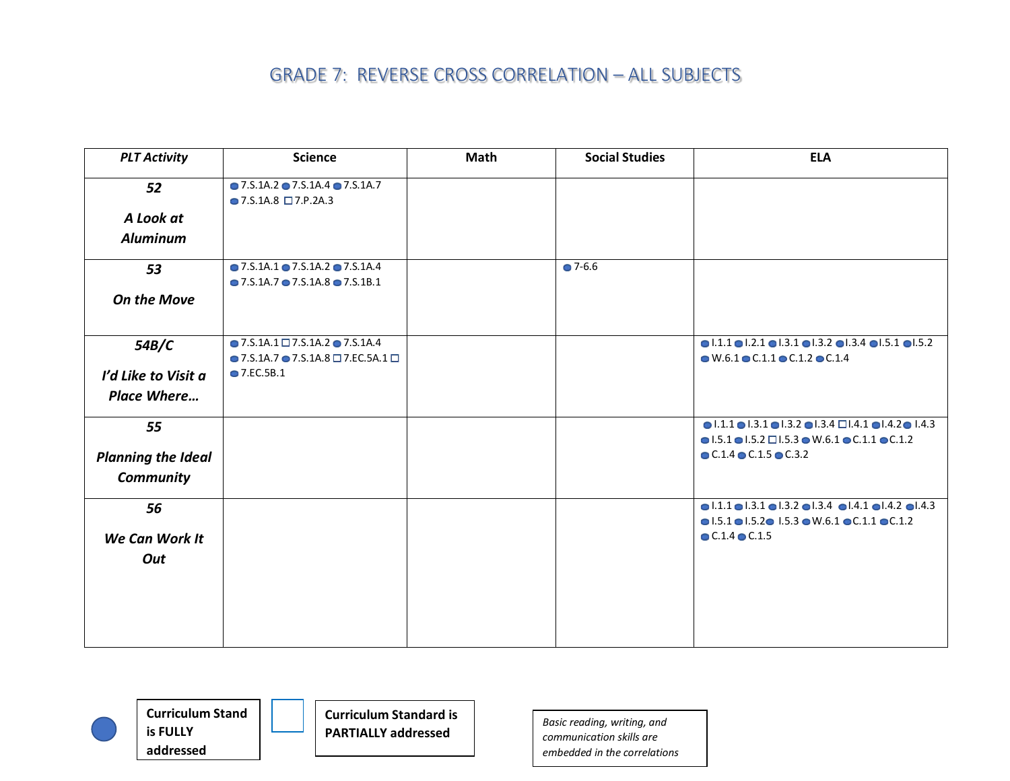| <b>PLT Activity</b>       | <b>Science</b>                                                                                 | Math | <b>Social Studies</b> | <b>ELA</b>                                                                                                                                                                                                         |
|---------------------------|------------------------------------------------------------------------------------------------|------|-----------------------|--------------------------------------------------------------------------------------------------------------------------------------------------------------------------------------------------------------------|
| 52                        | $\bullet$ 7.5.1A.2 $\bullet$ 7.5.1A.4 $\bullet$ 7.5.1A.7<br>$\bullet$ 7.S.1A.8 $\Box$ 7.P.2A.3 |      |                       |                                                                                                                                                                                                                    |
| A Look at                 |                                                                                                |      |                       |                                                                                                                                                                                                                    |
| <b>Aluminum</b>           |                                                                                                |      |                       |                                                                                                                                                                                                                    |
| 53                        | $\bullet$ 7.5.1A.1 $\bullet$ 7.5.1A.2 $\bullet$ 7.5.1A.4                                       |      | $27 - 6.6$            |                                                                                                                                                                                                                    |
|                           | $\bullet$ 7.5.1A.7 $\bullet$ 7.5.1A.8 $\bullet$ 7.5.1B.1                                       |      |                       |                                                                                                                                                                                                                    |
| <b>On the Move</b>        |                                                                                                |      |                       |                                                                                                                                                                                                                    |
| 54B/C                     | $\bullet$ 7.S.1A.1 $\Box$ 7.S.1A.2 $\bullet$ 7.S.1A.4                                          |      |                       | $\bullet$ 1.1.1 $\bullet$ 1.2.1 $\bullet$ 1.3.1 $\bullet$ 1.3.2 $\bullet$ 1.3.4 $\bullet$ 1.5.1 $\bullet$ 1.5.2                                                                                                    |
|                           | $\bullet$ 7.S.1A.7 $\bullet$ 7.S.1A.8 $\Box$ 7.EC.5A.1 $\Box$<br>• 7.EC.5B.1                   |      |                       | $\bullet$ W.6.1 $\bullet$ C.1.1 $\bullet$ C.1.2 $\bullet$ C.1.4                                                                                                                                                    |
| I'd Like to Visit a       |                                                                                                |      |                       |                                                                                                                                                                                                                    |
| <b>Place Where</b>        |                                                                                                |      |                       |                                                                                                                                                                                                                    |
| 55                        |                                                                                                |      |                       | $\bullet$  .1.1 $\bullet$  .3.1 $\bullet$  .3.2 $\bullet$  .3.4 $\Box$  .4.1 $\bullet$  .4.2 $\bullet$  .4.3                                                                                                       |
|                           |                                                                                                |      |                       | $\bullet$ 1.5.1 $\bullet$ 1.5.2 $\Box$ 1.5.3 $\bullet$ W.6.1 $\bullet$ C.1.1 $\bullet$ C.1.2<br>$\bullet$ C.1.4 $\bullet$ C.1.5 $\bullet$ C.3.2                                                                    |
| <b>Planning the Ideal</b> |                                                                                                |      |                       |                                                                                                                                                                                                                    |
| <b>Community</b>          |                                                                                                |      |                       |                                                                                                                                                                                                                    |
| 56                        |                                                                                                |      |                       | $\bullet$ 1.1.1 $\bullet$ 1.3.1 $\bullet$ 1.3.2 $\bullet$ 1.3.4 $\bullet$ 1.4.1 $\bullet$ 1.4.2 $\bullet$ 1.4.3<br>$\bullet$ 1.5.1 $\bullet$ 1.5.2 $\bullet$ 1.5.3 $\bullet$ W.6.1 $\bullet$ C.1.1 $\bullet$ C.1.2 |
| We Can Work It            |                                                                                                |      |                       | $\bullet$ C.1.4 $\bullet$ C.1.5                                                                                                                                                                                    |
| Out                       |                                                                                                |      |                       |                                                                                                                                                                                                                    |
|                           |                                                                                                |      |                       |                                                                                                                                                                                                                    |
|                           |                                                                                                |      |                       |                                                                                                                                                                                                                    |
|                           |                                                                                                |      |                       |                                                                                                                                                                                                                    |
|                           |                                                                                                |      |                       |                                                                                                                                                                                                                    |
|                           |                                                                                                |      |                       |                                                                                                                                                                                                                    |





**Curriculum Standard is PARTIALLY addressed** *Basic reading, writing, and*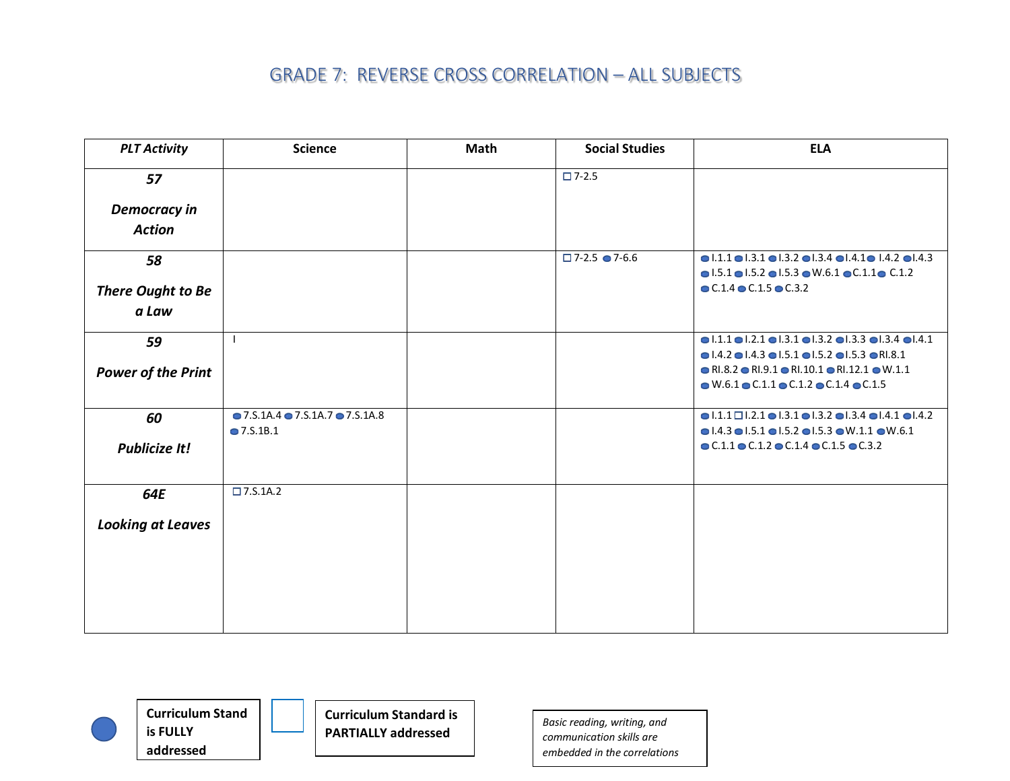| <b>PLT Activity</b>                  | <b>Science</b>                                           | <b>Math</b> | <b>Social Studies</b>         | <b>ELA</b>                                                                                                                                                                                                                                                                   |
|--------------------------------------|----------------------------------------------------------|-------------|-------------------------------|------------------------------------------------------------------------------------------------------------------------------------------------------------------------------------------------------------------------------------------------------------------------------|
| 57                                   |                                                          |             | $\square$ 7-2.5               |                                                                                                                                                                                                                                                                              |
| <b>Democracy in</b><br><b>Action</b> |                                                          |             |                               |                                                                                                                                                                                                                                                                              |
| 58                                   |                                                          |             | $\Box$ 7-2.5 $\bigcirc$ 7-6.6 | $\bullet$ 1.1.1 $\bullet$ 1.3.1 $\bullet$ 1.3.2 $\bullet$ 1.3.4 $\bullet$ 1.4.1 $\bullet$ 1.4.2 $\bullet$ 1.4.3                                                                                                                                                              |
| There Ought to Be<br>a Law           |                                                          |             |                               | $\bullet$ 1.5.1 $\bullet$ 1.5.2 $\bullet$ 1.5.3 $\bullet$ W.6.1 $\bullet$ C.1.1 $\bullet$ C.1.2<br>$\bullet$ C.1.4 $\bullet$ C.1.5 $\bullet$ C.3.2                                                                                                                           |
| 59                                   |                                                          |             |                               | $\bullet$  .1.1 $\bullet$  .2.1 $\bullet$  .3.1 $\bullet$  .3.2 $\bullet$  .3.3 $\bullet$  .3.4 $\bullet$  .4.1                                                                                                                                                              |
| <b>Power of the Print</b>            |                                                          |             |                               | $\bullet$ 1.4.2 $\bullet$ 1.4.3 $\bullet$ 1.5.1 $\bullet$ 1.5.2 $\bullet$ 1.5.3 $\bullet$ R1.8.1<br>$\bullet$ RI.8.2 $\bullet$ RI.9.1 $\bullet$ RI.10.1 $\bullet$ RI.12.1 $\bullet$ W.1.1<br>$\bullet$ W.6.1 $\bullet$ C.1.1 $\bullet$ C.1.2 $\bullet$ C.1.4 $\bullet$ C.1.5 |
| 60                                   | $\bullet$ 7.S.1A.4 $\bullet$ 7.S.1A.7 $\bullet$ 7.S.1A.8 |             |                               | $\bullet$  .1.1 $\Box$  .2.1 $\bullet$  .3.1 $\bullet$  .3.2 $\bullet$  .3.4 $\bullet$  .4.1 $\bullet$  .4.2                                                                                                                                                                 |
| <b>Publicize It!</b>                 | $\bullet$ 7.S.1B.1                                       |             |                               | $\bullet$ 1.4.3 $\bullet$ 1.5.1 $\bullet$ 1.5.2 $\bullet$ 1.5.3 $\bullet$ W.1.1 $\bullet$ W.6.1<br>$\bullet$ C.1.1 $\bullet$ C.1.2 $\bullet$ C.1.4 $\bullet$ C.1.5 $\bullet$ C.3.2                                                                                           |
|                                      |                                                          |             |                               |                                                                                                                                                                                                                                                                              |
| 64E                                  | $\square$ 7.S.1A.2                                       |             |                               |                                                                                                                                                                                                                                                                              |
| <b>Looking at Leaves</b>             |                                                          |             |                               |                                                                                                                                                                                                                                                                              |
|                                      |                                                          |             |                               |                                                                                                                                                                                                                                                                              |
|                                      |                                                          |             |                               |                                                                                                                                                                                                                                                                              |
|                                      |                                                          |             |                               |                                                                                                                                                                                                                                                                              |
|                                      |                                                          |             |                               |                                                                                                                                                                                                                                                                              |





**PARTIALLY addressed** *Basic reading, writing, and communication skills are embedded in the correlations*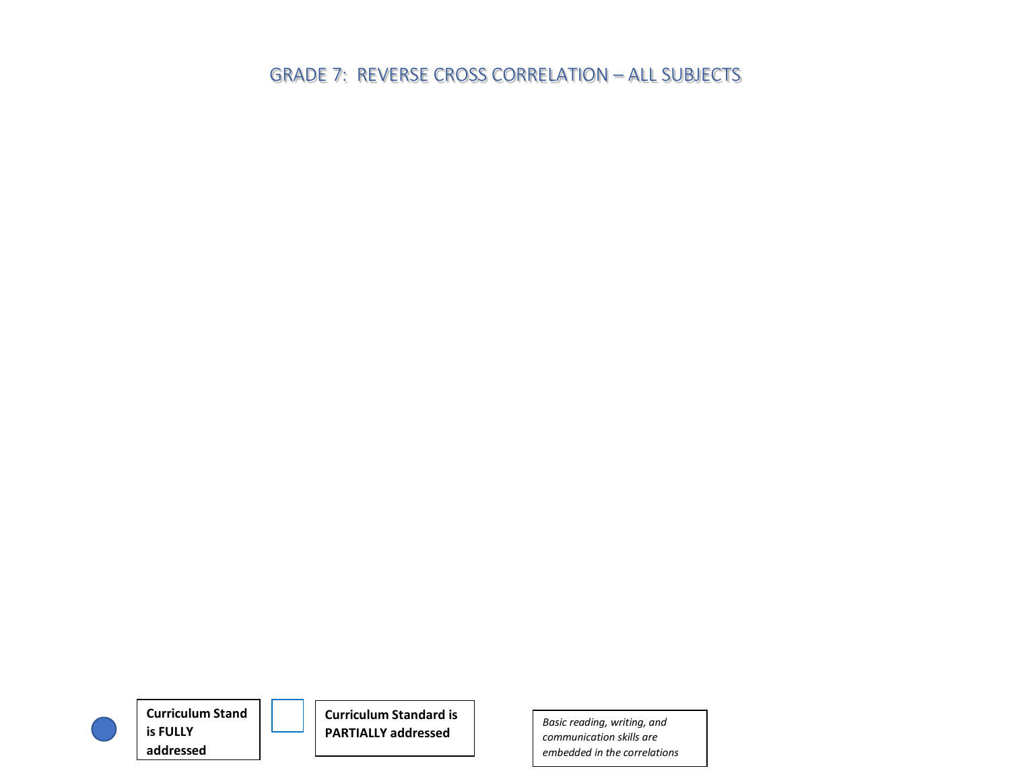

**Curriculum Stand is FULLY addressed**



**Curriculum Standard is PARTIALLY addressed** *Basic reading, writing, and*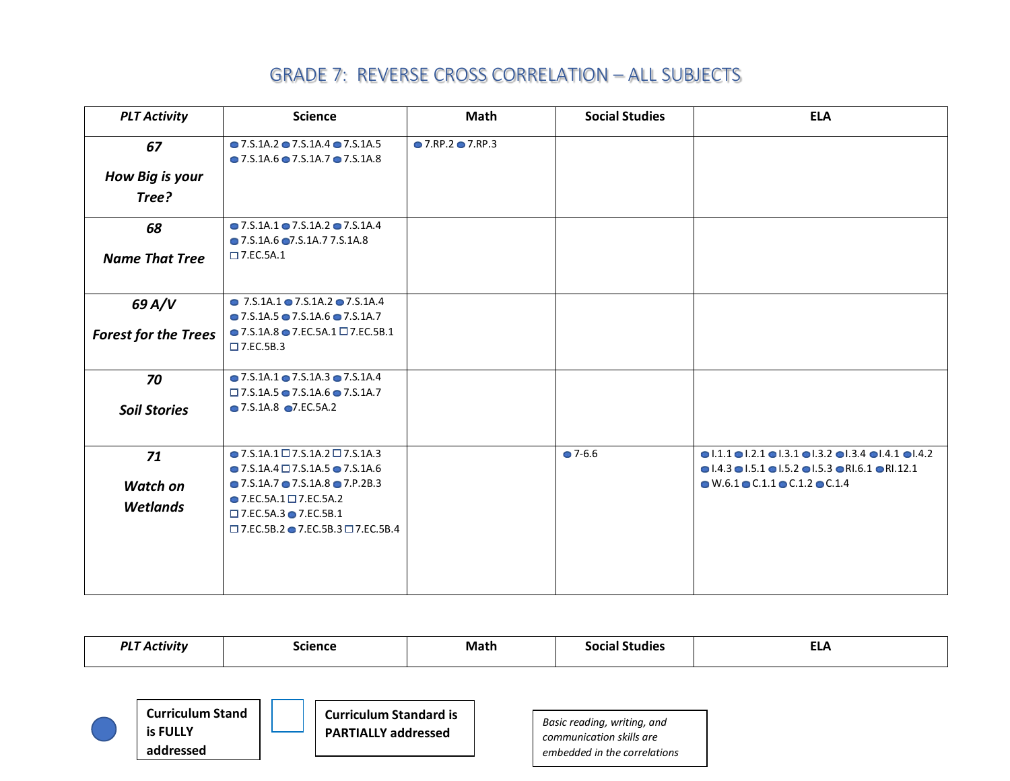| <b>PLT Activity</b>         | <b>Science</b>                                                                                                                           | Math              | <b>Social Studies</b> | <b>ELA</b>                                                                                                                                                                                                            |
|-----------------------------|------------------------------------------------------------------------------------------------------------------------------------------|-------------------|-----------------------|-----------------------------------------------------------------------------------------------------------------------------------------------------------------------------------------------------------------------|
| 67<br>How Big is your       | $\bullet$ 7.S.1A.2 $\bullet$ 7.S.1A.4 $\bullet$ 7.S.1A.5<br>$\bullet$ 7.5.1A.6 $\bullet$ 7.5.1A.7 $\bullet$ 7.5.1A.8                     | ● 7.RP.2 ● 7.RP.3 |                       |                                                                                                                                                                                                                       |
| Tree?                       |                                                                                                                                          |                   |                       |                                                                                                                                                                                                                       |
| 68                          | $\bullet$ 7.5.1A.1 $\bullet$ 7.5.1A.2 $\bullet$ 7.5.1A.4<br>• 7.S.1A.6 • 7.S.1A.7 7.S.1A.8                                               |                   |                       |                                                                                                                                                                                                                       |
| <b>Name That Tree</b>       | $\square$ 7.EC.5A.1                                                                                                                      |                   |                       |                                                                                                                                                                                                                       |
| 69 A/V                      | $\bullet$ 7.S.1A.1 $\bullet$ 7.S.1A.2 $\bullet$ 7.S.1A.4<br>$\bullet$ 7.S.1A.5 $\bullet$ 7.S.1A.6 $\bullet$ 7.S.1A.7                     |                   |                       |                                                                                                                                                                                                                       |
| <b>Forest for the Trees</b> | $\bullet$ 7.S.1A.8 $\bullet$ 7.EC.5A.1 $\Box$ 7.EC.5B.1<br>$\square$ 7.EC.5B.3                                                           |                   |                       |                                                                                                                                                                                                                       |
| 70                          | $\bullet$ 7.S.1A.1 $\bullet$ 7.S.1A.3 $\bullet$ 7.S.1A.4<br>$\Box$ 7.S.1A.5 $\bullet$ 7.S.1A.6 $\bullet$ 7.S.1A.7                        |                   |                       |                                                                                                                                                                                                                       |
| <b>Soil Stories</b>         | • 7.S.1A.8 • 7.EC.5A.2                                                                                                                   |                   |                       |                                                                                                                                                                                                                       |
| 71                          | $\bullet$ 7.S.1A.1 $\Box$ 7.S.1A.2 $\Box$ 7.S.1A.3<br>$\bullet$ 7.S.1A.4 $\Box$ 7.S.1A.5 $\bullet$ 7.S.1A.6                              |                   | $27 - 6.6$            | $\bullet$ 1.1.1 $\bullet$ 1.2.1 $\bullet$ 1.3.1 $\bullet$ 1.3.2 $\bullet$ 1.3.4 $\bullet$ 1.4.1 $\bullet$ 1.4.2<br>$\bullet$ 1.4.3 $\bullet$ 1.5.1 $\bullet$ 1.5.2 $\bullet$ 1.5.3 $\bullet$ R1.6.1 $\bullet$ R1.12.1 |
| <b>Watch on</b>             | $\bullet$ 7.5.1A.7 $\bullet$ 7.5.1A.8 $\bullet$ 7.P.2B.3                                                                                 |                   |                       | $\bullet$ W.6.1 $\bullet$ C.1.1 $\bullet$ C.1.2 $\bullet$ C.1.4                                                                                                                                                       |
| <b>Wetlands</b>             | $\bullet$ 7.EC.5A.1 $\Box$ 7.EC.5A.2<br>$\square$ 7.EC.5A.3 $\bullet$ 7.EC.5B.1<br>$\Box$ 7.EC.5B.2 $\bullet$ 7.EC.5B.3 $\Box$ 7.EC.5B.4 |                   |                       |                                                                                                                                                                                                                       |
|                             |                                                                                                                                          |                   |                       |                                                                                                                                                                                                                       |

| <b>PLT Activity</b><br><b>Science</b> |                                                  |  | Math                                                        |  | <b>Social Studies</b> | <b>ELA</b>                                                                              |  |
|---------------------------------------|--------------------------------------------------|--|-------------------------------------------------------------|--|-----------------------|-----------------------------------------------------------------------------------------|--|
|                                       | <b>Curriculum Stand</b><br>is FULLY<br>addressed |  | <b>Curriculum Standard is</b><br><b>PARTIALLY addressed</b> |  |                       | Basic reading, writing, and<br>communication skills are<br>embedded in the correlations |  |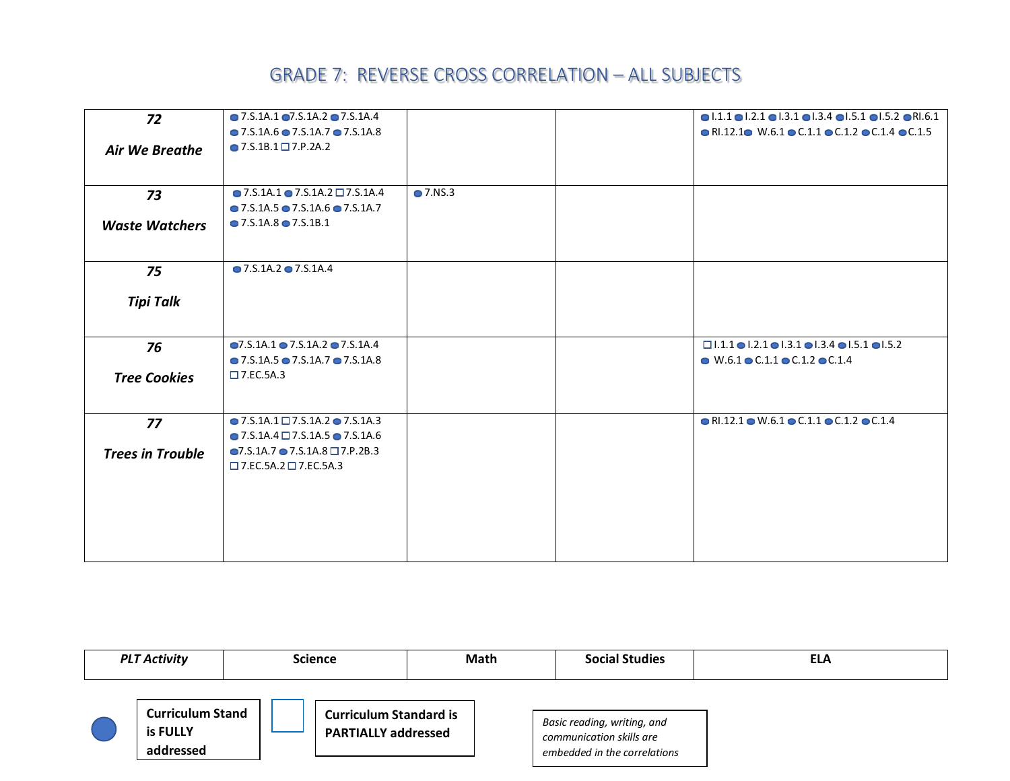| 72                      | $\bullet$ 7.5.1A.1 $\bullet$ 7.5.1A.2 $\bullet$ 7.5.1A.4 |                  | $\bullet$ 1.1.1 $\bullet$ 1.2.1 $\bullet$ 1.3.1 $\bullet$ 1.3.4 $\bullet$ 1.5.1 $\bullet$ 1.5.2 $\bullet$ R1.6.1 |
|-------------------------|----------------------------------------------------------|------------------|------------------------------------------------------------------------------------------------------------------|
|                         | $\bullet$ 7.5.1A.6 $\bullet$ 7.5.1A.7 $\bullet$ 7.5.1A.8 |                  | $\bullet$ RI.12.1 $\bullet$ W.6.1 $\bullet$ C.1.1 $\bullet$ C.1.2 $\bullet$ C.1.4 $\bullet$ C.1.5                |
| Air We Breathe          | $\bullet$ 7.S.1B.1 $\Box$ 7.P.2A.2                       |                  |                                                                                                                  |
|                         |                                                          |                  |                                                                                                                  |
| 73                      | $\bullet$ 7.5.1A.1 $\bullet$ 7.5.1A.2 $\Box$ 7.5.1A.4    | $\bullet$ 7.NS.3 |                                                                                                                  |
|                         | $\bullet$ 7.5.1A.5 $\bullet$ 7.5.1A.6 $\bullet$ 7.5.1A.7 |                  |                                                                                                                  |
| <b>Waste Watchers</b>   | $\bullet$ 7.5.1A.8 $\bullet$ 7.5.1B.1                    |                  |                                                                                                                  |
| 75                      | $\bullet$ 7.5.1A.2 $\bullet$ 7.5.1A.4                    |                  |                                                                                                                  |
|                         |                                                          |                  |                                                                                                                  |
| <b>Tipi Talk</b>        |                                                          |                  |                                                                                                                  |
|                         |                                                          |                  |                                                                                                                  |
| 76                      | $\bullet$ 7.S.1A.1 $\bullet$ 7.S.1A.2 $\bullet$ 7.S.1A.4 |                  | $\Box$ 1.1.1 $\Box$ 1.2.1 $\Box$ 1.3.1 $\Box$ 1.3.4 $\Box$ 1.5.1 $\Box$ 1.5.2                                    |
|                         | $\bullet$ 7.5.1A.5 $\bullet$ 7.5.1A.7 $\bullet$ 7.5.1A.8 |                  | $\bullet$ W.6.1 $\bullet$ C.1.1 $\bullet$ C.1.2 $\bullet$ C.1.4                                                  |
| <b>Tree Cookies</b>     | $\square$ 7.EC.5A.3                                      |                  |                                                                                                                  |
|                         | $\bullet$ 7.5.1A.1 $\Box$ 7.5.1A.2 $\bullet$ 7.5.1A.3    |                  | $\bullet$ RI.12.1 $\bullet$ W.6.1 $\bullet$ C.1.1 $\bullet$ C.1.2 $\bullet$ C.1.4                                |
| 77                      | $\bullet$ 7.5.1A.4 $\Box$ 7.5.1A.5 $\bullet$ 7.5.1A.6    |                  |                                                                                                                  |
|                         | $\bullet$ 7.S.1A.7 $\bullet$ 7.S.1A.8 $\Box$ 7.P.2B.3    |                  |                                                                                                                  |
| <b>Trees in Trouble</b> | $\square$ 7.EC.5A.2 $\square$ 7.EC.5A.3                  |                  |                                                                                                                  |
|                         |                                                          |                  |                                                                                                                  |
|                         |                                                          |                  |                                                                                                                  |
|                         |                                                          |                  |                                                                                                                  |
|                         |                                                          |                  |                                                                                                                  |
|                         |                                                          |                  |                                                                                                                  |

| <b>PLT Activity</b><br><b>Science</b> |                                                  | <b>Math</b> | <b>Social Studies</b>                                       | <b>ELA</b> |                                                                                         |  |
|---------------------------------------|--------------------------------------------------|-------------|-------------------------------------------------------------|------------|-----------------------------------------------------------------------------------------|--|
|                                       | <b>Curriculum Stand</b><br>is FULLY<br>addressed |             | <b>Curriculum Standard is</b><br><b>PARTIALLY addressed</b> |            | Basic reading, writing, and<br>communication skills are<br>embedded in the correlations |  |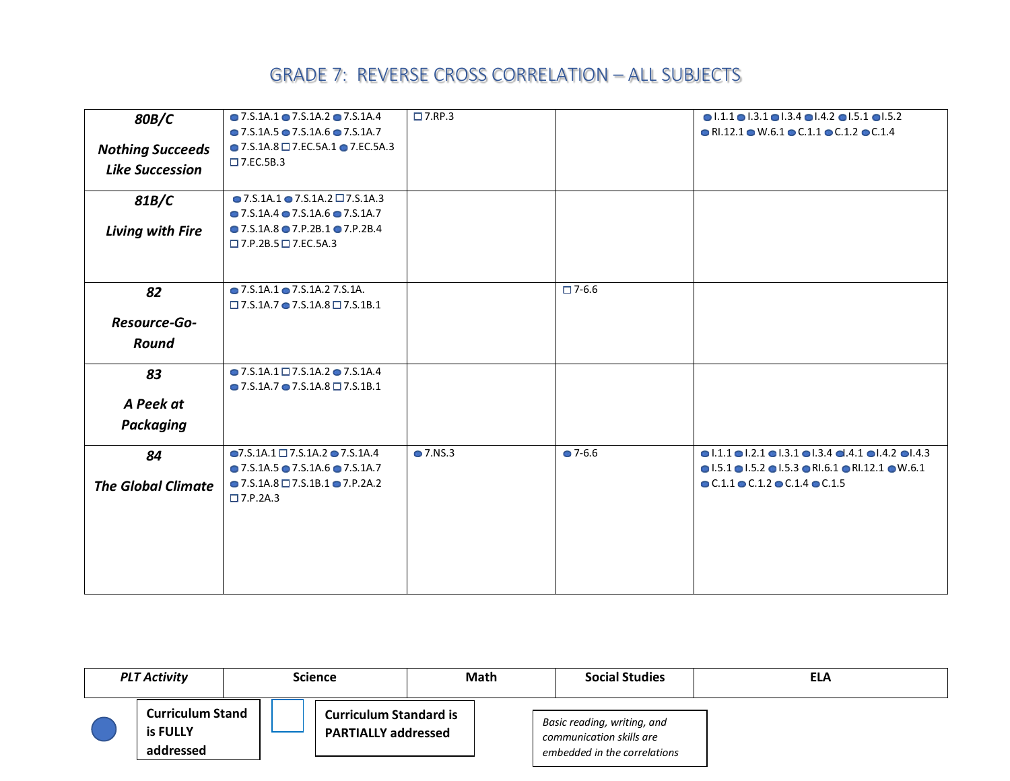| 80B/C                     | $\bullet$ 7.5.1A.1 $\bullet$ 7.5.1A.2 $\bullet$ 7.5.1A.4   | $\Box$ 7.RP.3 |                 | $\bullet$  .1.1 $\bullet$  .3.1 $\bullet$  .3.4 $\bullet$  .4.2 $\bullet$  .5.1 $\bullet$  .5.2                 |
|---------------------------|------------------------------------------------------------|---------------|-----------------|-----------------------------------------------------------------------------------------------------------------|
|                           | $\bullet$ 7.5.1A.5 $\bullet$ 7.S.1A.6 $\bullet$ 7.S.1A.7   |               |                 | $\bullet$ RI.12.1 $\bullet$ W.6.1 $\bullet$ C.1.1 $\bullet$ C.1.2 $\bullet$ C.1.4                               |
| <b>Nothing Succeeds</b>   | $\bullet$ 7.S.1A.8 $\Box$ 7.EC.5A.1 $\bullet$ 7.EC.5A.3    |               |                 |                                                                                                                 |
| <b>Like Succession</b>    | $\square$ 7.EC.5B.3                                        |               |                 |                                                                                                                 |
|                           |                                                            |               |                 |                                                                                                                 |
| 81B/C                     | $\bullet$ 7.S.1A.1 $\bullet$ 7.S.1A.2 $\Box$ 7.S.1A.3      |               |                 |                                                                                                                 |
|                           | $\bullet$ 7.5.1A.4 $\bullet$ 7.5.1A.6 $\bullet$ 7.5.1A.7   |               |                 |                                                                                                                 |
| Living with Fire          | $\bullet$ 7.5.1A.8 $\bullet$ 7.P.2B.1 $\bullet$ 7.P.2B.4   |               |                 |                                                                                                                 |
|                           | $\Box$ 7.P.2B.5 $\Box$ 7.EC.5A.3                           |               |                 |                                                                                                                 |
|                           |                                                            |               |                 |                                                                                                                 |
|                           |                                                            |               |                 |                                                                                                                 |
| 82                        | $\bullet$ 7.S.1A.1 $\bullet$ 7.S.1A.2 7.S.1A.              |               | $\square$ 7-6.6 |                                                                                                                 |
|                           | $\Box$ 7.S.1A.7 $\bullet$ 7.S.1A.8 $\Box$ 7.S.1B.1         |               |                 |                                                                                                                 |
| Resource-Go-              |                                                            |               |                 |                                                                                                                 |
| Round                     |                                                            |               |                 |                                                                                                                 |
|                           |                                                            |               |                 |                                                                                                                 |
| 83                        | $\bullet$ 7.5.1A.1 $\Box$ 7.5.1A.2 $\bullet$ 7.5.1A.4      |               |                 |                                                                                                                 |
|                           | $\bullet$ 7.5.1A.7 $\bullet$ 7.5.1A.8 $\Box$ 7.5.1B.1      |               |                 |                                                                                                                 |
| A Peek at                 |                                                            |               |                 |                                                                                                                 |
| Packaging                 |                                                            |               |                 |                                                                                                                 |
|                           | $\bigcirc$ 7.S.1A.1 $\square$ 7.S.1A.2 $\bigcirc$ 7.S.1A.4 | • 7.NS.3      | $-7 - 6.6$      | $\bullet$ 1.1.1 $\bullet$ 1.2.1 $\bullet$ 1.3.1 $\bullet$ 1.3.4 $\bullet$ 1.4.1 $\bullet$ 1.4.2 $\bullet$ 1.4.3 |
| 84                        | $\bullet$ 7.5.1A.5 $\bullet$ 7.S.1A.6 $\bullet$ 7.S.1A.7   |               |                 | $\bullet$ 1.5.1 $\bullet$ 1.5.2 $\bullet$ 1.5.3 $\bullet$ RI.6.1 $\bullet$ RI.12.1 $\bullet$ W.6.1              |
|                           | $\bullet$ 7.S.1A.8 $\Box$ 7.S.1B.1 $\bullet$ 7.P.2A.2      |               |                 | $\bullet$ C.1.1 $\bullet$ C.1.2 $\bullet$ C.1.4 $\bullet$ C.1.5                                                 |
| <b>The Global Climate</b> | $\Box$ 7.P.2A.3                                            |               |                 |                                                                                                                 |
|                           |                                                            |               |                 |                                                                                                                 |
|                           |                                                            |               |                 |                                                                                                                 |
|                           |                                                            |               |                 |                                                                                                                 |
|                           |                                                            |               |                 |                                                                                                                 |
|                           |                                                            |               |                 |                                                                                                                 |
|                           |                                                            |               |                 |                                                                                                                 |

| <b>PLT Activity</b> |                                                  | <b>Science</b> |                                                             | <b>Math</b> |  | <b>Social Studies</b>                                                                   | <b>ELA</b> |
|---------------------|--------------------------------------------------|----------------|-------------------------------------------------------------|-------------|--|-----------------------------------------------------------------------------------------|------------|
|                     | <b>Curriculum Stand</b><br>is FULLY<br>addressed |                | <b>Curriculum Standard is</b><br><b>PARTIALLY addressed</b> |             |  | Basic reading, writing, and<br>communication skills are<br>embedded in the correlations |            |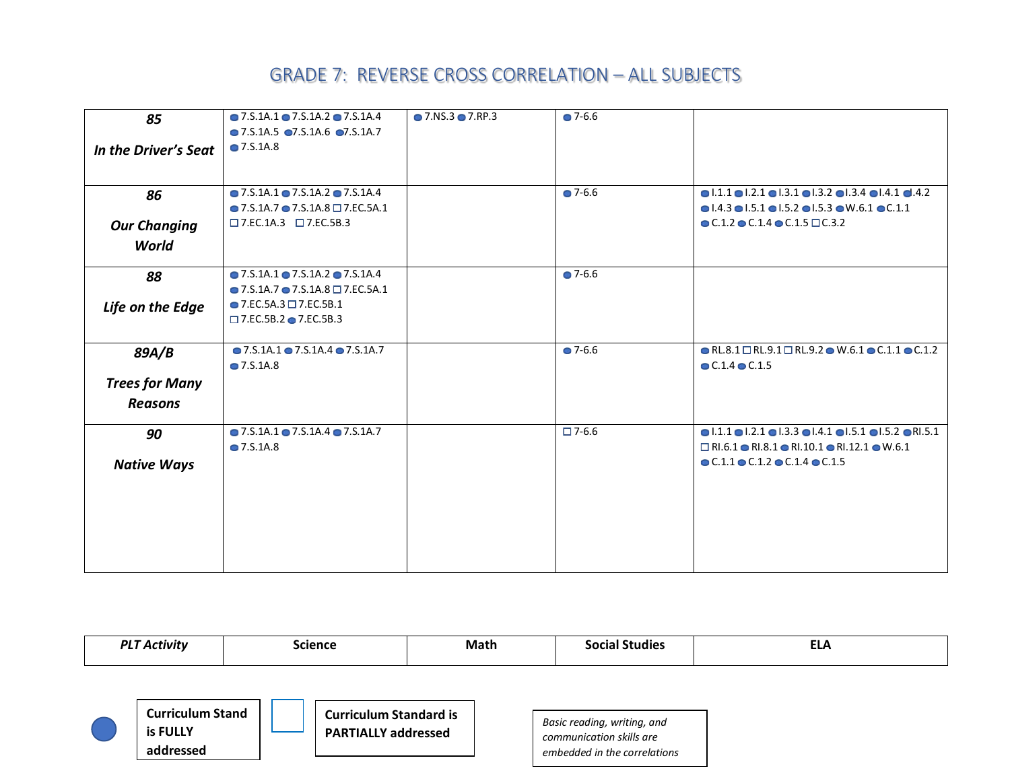| 85                    | $\bullet$ 7.5.1A.1 $\bullet$ 7.5.1A.2 $\bullet$ 7.5.1A.4<br>$\bullet$ 7.5.1A.5 $\bullet$ 7.5.1A.6 $\bullet$ 7.5.1A.7 | $\bullet$ 7.NS.3 $\bullet$ 7.RP.3 | $27 - 6.6$      |                                                                                                                                                                 |
|-----------------------|----------------------------------------------------------------------------------------------------------------------|-----------------------------------|-----------------|-----------------------------------------------------------------------------------------------------------------------------------------------------------------|
| In the Driver's Seat  | <b>● 7.S.1A.8</b>                                                                                                    |                                   |                 |                                                                                                                                                                 |
|                       |                                                                                                                      |                                   |                 |                                                                                                                                                                 |
| 86                    | $\bullet$ 7.S.1A.1 $\bullet$ 7.S.1A.2 $\bullet$ 7.S.1A.4                                                             |                                   | $-7 - 6.6$      | $\bullet$ 1.1.1 $\bullet$ 1.2.1 $\bullet$ 1.3.1 $\bullet$ 1.3.2 $\bullet$ 1.3.4 $\bullet$ 1.4.1 $\bullet$ 4.4.2                                                 |
|                       | $\bullet$ 7.S.1A.7 $\bullet$ 7.S.1A.8 $\Box$ 7.EC.5A.1<br>$\square$ 7.EC.1A.3 $\square$ 7.EC.5B.3                    |                                   |                 | $\bullet$ 1.4.3 $\bullet$ 1.5.1 $\bullet$ 1.5.2 $\bullet$ 1.5.3 $\bullet$ W.6.1 $\bullet$ C.1.1<br>$\bullet$ C.1.2 $\bullet$ C.1.4 $\bullet$ C.1.5 $\Box$ C.3.2 |
| <b>Our Changing</b>   |                                                                                                                      |                                   |                 |                                                                                                                                                                 |
| World                 |                                                                                                                      |                                   |                 |                                                                                                                                                                 |
| 88                    | $\bullet$ 7.5.1A.1 $\bullet$ 7.5.1A.2 $\bullet$ 7.5.1A.4                                                             |                                   | $27 - 6.6$      |                                                                                                                                                                 |
|                       | $\bullet$ 7.S.1A.7 $\bullet$ 7.S.1A.8 $\Box$ 7.EC.5A.1                                                               |                                   |                 |                                                                                                                                                                 |
| Life on the Edge      | $\bullet$ 7.EC.5A.3 $\Box$ 7.EC.5B.1                                                                                 |                                   |                 |                                                                                                                                                                 |
|                       | $\square$ 7.EC.5B.2 $\bullet$ 7.EC.5B.3                                                                              |                                   |                 |                                                                                                                                                                 |
| 89A/B                 | $\bullet$ 7.5.1A.1 $\bullet$ 7.5.1A.4 $\bullet$ 7.5.1A.7                                                             |                                   | $2 - 6.6$       | $\bullet$ RL.8.1 $\Box$ RL.9.1 $\Box$ RL.9.2 $\bullet$ W.6.1 $\bullet$ C.1.1 $\bullet$ C.1.2                                                                    |
|                       | • 7.S.1A.8                                                                                                           |                                   |                 | $C.1.4$ $C.1.5$                                                                                                                                                 |
| <b>Trees for Many</b> |                                                                                                                      |                                   |                 |                                                                                                                                                                 |
| <b>Reasons</b>        |                                                                                                                      |                                   |                 |                                                                                                                                                                 |
| 90                    | $\bullet$ 7.5.1A.1 $\bullet$ 7.5.1A.4 $\bullet$ 7.5.1A.7                                                             |                                   | $\square$ 7-6.6 | $\bullet$ 1.1.1 $\bullet$ 1.2.1 $\bullet$ 1.3.3 $\bullet$ 1.4.1 $\bullet$ 1.5.1 $\bullet$ 1.5.2 $\bullet$ R1.5.1                                                |
|                       | • 7.S.1A.8                                                                                                           |                                   |                 | $\Box$ RI.6.1 $\bullet$ RI.8.1 $\bullet$ RI.10.1 $\bullet$ RI.12.1 $\bullet$ W.6.1                                                                              |
| <b>Native Ways</b>    |                                                                                                                      |                                   |                 | $\bullet$ C.1.1 $\bullet$ C.1.2 $\bullet$ C.1.4 $\bullet$ C.1.5                                                                                                 |
|                       |                                                                                                                      |                                   |                 |                                                                                                                                                                 |
|                       |                                                                                                                      |                                   |                 |                                                                                                                                                                 |
|                       |                                                                                                                      |                                   |                 |                                                                                                                                                                 |
|                       |                                                                                                                      |                                   |                 |                                                                                                                                                                 |
|                       |                                                                                                                      |                                   |                 |                                                                                                                                                                 |
|                       |                                                                                                                      |                                   |                 |                                                                                                                                                                 |

| <b>PLT Activity</b> | <b>Science</b>           | Math | <b>Social Studies</b> | <b>ELA</b> |
|---------------------|--------------------------|------|-----------------------|------------|
|                     |                          |      |                       |            |
| Curriculum Stand    | Constantina Champland in |      |                       |            |